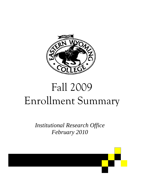

# Fall 2009 Enrollment Summary

*Institutional Research Office February 2010* 

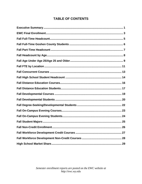# **TABLE OF CONTENTS**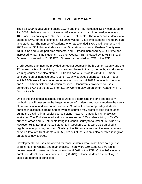# EXECUTIVE SUMMARY

The Fall 2009 headcount increased 12.7% and the FTE increased 12.8% compared to Fall 2008. Full-time headcount was up 83 students and part-time headcount was up 108 students resulting in a total increase of 191 students. The number of students who attended EWC for the first time in Fall 2009 was up 47 full-time students and up 99 parttime students. The number of students who had attended EWC anytime prior to Fall 2009 was up 36 full-time students and up 9 part-time students. Goshen County was up 43 full-time and up 34 part-time students, and Outreach increased by 40 full-time and increased 74 part-time students. Goshen County FTE increased by 62.96 FTE, and Outreach increased by 74.31 FTE. Outreach accounted for 37% of the FTE.

Credit course offerings are provided as regular courses in both Goshen County and the 12 outreach sites. In addition, concurrent enrollment in the high schools, and distance learning courses are also offered. Outreach had 48.23% of its 449.41 FTE from concurrent enrollment courses. Goshen County courses generated 762.42 FTE of which 7.20% were from concurrent enrollment courses, 4.78% from evening courses, and 12.53% from distance education courses. Concurrent enrollment courses generated 57.0% of the 380.24 non-LEA (Wyoming Law Enforcement Academy) FTE from outreach.

One of the challenges in scheduling courses is determining the time and delivery method that will best serve the largest number of students and accommodate the needs of non-traditional and site bound students. Some of the on-campus day students enrolled in distance learning and/or evening courses may prefer to take the courses during the daytime in a regular course setting; however, that option is not always available. The 42 distance education courses served 135 students living in EWC's outreach areas and 125 students living in Goshen County for a total of 260 students. However, 95 (76.0%) of the 125 students in Goshen County were also enrolled in regular on-campus day courses. Similarly, the 20 on-campus credit evening courses served a total of 146 students with 85 (58.23%) of the students also enrolled in regular on-campus day courses.

Developmental courses are offered for those students who do not have college level skills in reading, writing, and mathematics. There were 169 students enrolled in developmental courses, which accounted for 5.06% of the FTE. Of the 169 students enrolled in developmental courses, 150 (88.76%) of those students are seeking an associate degree or certificate.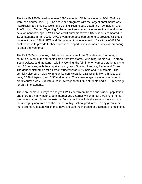The total Fall 2009 headcount was 1696 students. Of those students, 964 (56.84%) were non-degree seeking. The academic programs with the largest enrollments were Interdisciplinary Studies, Welding & Joining Technology, Veterinary Technology, and Pre-Nursing. Eastern Wyoming College provides numerous non-credit and workforce development offerings. EWC's non-credit enrollment was 1432 students compared to 1,195 students in Fall 2008. EWC's workforce development efforts provided 61 credit courses totaling 126.84 FTE and 49 non-credit courses meeting for a total of 478.00 contact hours to provide further educational opportunities for individuals in or preparing to enter the workforce.

The Fall 2009 on-campus, full-time students came from 29 states and four foreign countries. Most of the students came from five states: Wyoming, Nebraska, Colorado, South Dakota, and Montana. Within Wyoming, the full-time, on-campus students came from 20 counties, with the majority coming from Goshen, Laramie, Platte, and Crook. The gender distribution for all credit students was 39% male and 61% female. The ethnicity distribution was 70.46% white non-Hispanic, 22.64% unknown ethnicity and race, 3.54% Hispanic, and 3.36% all others. The average age of students enrolled in credit courses was 27.8 with a 22.41 average for full-time students and a 31.06 average for part-time students.

There are numerous ways to analyze EWC's enrollment trends and student population and there are many factors, both internal and external, which affect enrollment trends. We have no control over the external factors, which include the state of the economy, the unemployment rate and the number of high school graduates. In any given year, there are many factors which may have affected the increase or decrease in enrollment.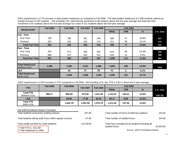EWC experienced a 12.7% increase in total student headcount as compared to Fall 2008. The total student headcount of 1,696 students reflects an overall increase of 191 students. Not including LEA, total full-time enrollment is 86 students above the five-year average and total part-time enrollment is 65 students above the five-year average for a total of 151 students above the five-year average.

| <b>HEADCOUNT</b>                        | <b>Fall 2005</b> | <b>Fall 2006</b> | <b>Fall 2007</b> | <b>Fall 2008</b> |              | <b>Fall 2009</b> |               |           |
|-----------------------------------------|------------------|------------------|------------------|------------------|--------------|------------------|---------------|-----------|
|                                         |                  |                  |                  |                  | <b>FINAL</b> | <b>VAR</b>       | $\frac{9}{6}$ | 5 Yr. AVG |
| <b>IFull - Time</b>                     |                  |                  |                  |                  |              |                  |               |           |
| <b>First Time</b>                       | 195              | 199              | 261              | 244              | 285          | 41               | 16.8%         | 237       |
| Previous                                | 310              | 235              | 233              | 275              | 311          | 36               | 13.1%         | 273       |
| <b>Total Full Time</b>                  | 505              | 434              | 494              | 519              | 596          | 77               | 14.8%         | 510       |
| <b>IPart - Time</b>                     |                  |                  |                  |                  |              |                  |               |           |
| <b>First Time</b>                       | 303              | 411              | 465              | 425              | 524          | 99               | 23.3%         | 426       |
| Previous                                | 688              | 547              | 552              | 522              | 535          | 13               | 2.5%          | 569       |
| <b>Total Part Time</b>                  | 991              | 958              | 1,017            | 947              | 1,059        | 112              | 11.8%         | 994       |
|                                         |                  |                  |                  |                  |              |                  |               |           |
| <b>Total Headcount</b><br>(Without LEA) | 1,496            | 1,392            | 1,511            | 1,466            | 1,655        | 189              | 12.9%         | 1504      |
| <b>ILEA</b>                             |                  | 54               | 47               | 39               | 41           | $\mathbf{2}$     | 5.1%          |           |
| <b>Total Headcount</b><br>(With LEA)    |                  | 1,446            | 1,558            | 1,505            | 1,696        | 191              | 12.7%         |           |

EWC experienced a 12.8% increase in FTE compared to Fall 2008. Not including LEA, the FTE is 135.17 above the 5 year average.

| <b>Fall 2005</b><br>FTE           |                                                                                                                        | <b>Fall 2006</b> | <b>Fall 2007</b> | <b>Fall 2008</b> |              |            |               |           |
|-----------------------------------|------------------------------------------------------------------------------------------------------------------------|------------------|------------------|------------------|--------------|------------|---------------|-----------|
|                                   |                                                                                                                        |                  |                  |                  | <b>FINAL</b> | <b>VAR</b> | $\frac{9}{6}$ | 5 Yr. AVG |
| <b>Total FTE</b><br>(Without LEA) | 999.17                                                                                                                 | 909.29           | 973.92           | 1,012.46         | 1,142.67     | 130.21     | 12.9%         | 1007.50   |
| LEA                               | <u> Estados de Santiaco</u>                                                                                            | 95.50            | 77.08            | 62.33            | 69.17        | 6.83       | 11.0%         |           |
| <b>Total FTE</b><br>(With LEA)    | <u> Isaac Ingilaan ka sida ah ingilaa ka sida ah ingilaa ka sida ah ingilaan ka sida ah ingilaan ka sida ah ingila</u> | 1,004.79         | .051.00          | 1,074.79         | 1,211.83     | 137.04     | 12.8%         |           |

| Fall 2009 Enrollment Report Footnotes:                             |           |                                                                      |           |
|--------------------------------------------------------------------|-----------|----------------------------------------------------------------------|-----------|
| Total students exclusively auditing classes:                       | 207.00    | Total number of hours enrolled by auditees:                          | 220.00    |
| Total students taking audit hours within regular courses:          | 97.00     | Total number of audited hours:                                       | 103.00    |
| Total credits enrolled by credit students:<br>Total FTE is 1211.83 | 14.219.00 | Total hours enrolled by all students including all<br>audited hours: | 14.542.00 |
| Total Headcount is 1696                                            |           | Source: WCCC Enrollment Report                                       |           |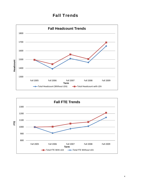# Fall Trends



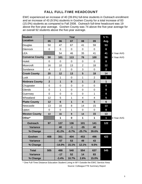# FALL FULL-TIME HEADCOUNT

EWC experienced an increase of 40 (39.6%) full-time students in Outreach enrollment and an increase of 43 (9.5%) students in Goshen County for a total increase of 83 (15.0%) students as compared to Fall 2008. Outreach full-time headcount was 19 above the five-year average. Goshen County was 74 above the five-year average for an overall 92 students above the five-year average.

| <b>Student</b>         |                |                | Year         |                         |                | 5 Yr.            |            |
|------------------------|----------------|----------------|--------------|-------------------------|----------------|------------------|------------|
| <b>Location</b>        | 05             | 06             | 07           | 08                      | 09             | Avg.             |            |
| Douglas                | 50             | 47             | 67           | 41                      | 59             | 53               |            |
| Glenrock               | 0              | 0              | 0            | $\mathbf 0$             | $\mathbf 0$    | $\boldsymbol{0}$ |            |
| <b>LEA</b>             |                | 54             | 46           | 35                      | 41             | 41               | 4 Year AVG |
| <b>Converse County</b> | 50             | 101            | 113          | 76                      | 100            | 96               | 4 Year AVG |
| <b>Hulett</b>          | $\overline{0}$ | $\mathbf 0$    | $\mathbf 0$  | $\mathbf 0$             | $\mathbf 0$    | $\boldsymbol{0}$ |            |
| Moorcroft              | 16             | 10             | 13           | $\overline{2}$          | 18             | 12               |            |
| Sundance               | $\overline{4}$ | $\overline{2}$ | $\mathbf 0$  | 3                       | $\overline{0}$ | $\overline{2}$   |            |
| <b>Crook County</b>    | 20             | 12             | 13           | 5                       | 18             | 14               |            |
| Lusk                   | $\overline{2}$ | 1              | 0            | 1                       | $\overline{2}$ | 1                |            |
| <b>Niobrara County</b> | $\overline{2}$ | $\mathbf{1}$   | $\mathbf 0$  | $\mathbf{1}$            | $\overline{2}$ | $\mathbf{1}$     |            |
| Chugwater              | 0              | 0              | $\mathbf 0$  | $\mathbf 0$             | $\mathbf 0$    | $\boldsymbol{0}$ |            |
| Glendo                 | 0              | 1              | 0            | $\mathbf 0$             | $\mathbf 0$    | $\boldsymbol{0}$ |            |
| Guernsey               | 0              | 0              | $\pmb{0}$    | $\mathbf 0$             | 1              | $\boldsymbol{0}$ |            |
| Wheatland              | 12             | 5              | 1            | 4                       | $\overline{4}$ | 5                |            |
| <b>Platte County</b>   | 12             | $6\phantom{1}$ | $\mathbf{1}$ | $\overline{\mathbf{4}}$ | 5              | $6\phantom{1}$   |            |
| Newcastle              | 13             | 16             | 8            | 14                      | 15             | 13               |            |
| Upton                  | $\mathbf 0$    | $\mathbf 0$    | 1            | $\mathbf 0$             | $\overline{0}$ | $\boldsymbol{0}$ |            |
| <b>Weston County</b>   | 13             | 16             | 9            | 14                      | 15             | 13               |            |
| Other*                 |                | 1              | $\pmb{0}$    | 1                       | 1              | 1                | 4 Year AVG |
| <b>Outreach</b>        | 97             | 137            | 136          | 101                     | 141            | 122              |            |
| <b>Variance</b>        |                | 40             | $-1$         | $-35$                   | 40             |                  |            |
| % Change               |                | 41.2%          | $-0.7%$      | $-25.7%$                | 39.6%          |                  |            |
| <b>Goshen</b>          | 408            | 351            | 404          | 453                     | 496            | 422              |            |
| <b>Variance</b>        |                | $-57$          | 53           | 49                      | 43             |                  |            |
| % Change               |                | $-14.0%$       | 15.1%        | 12.1%                   | 9.5%           |                  |            |
| <b>Total</b>           | 505            | 488            | 540          | 554                     | 637            | 545              |            |
| Variance               |                | $-17$          | 52           | 14                      | 83             |                  |            |
| % Change               |                | $-3.4%$        | 10.7%        | 2.6%                    | 15.0%          |                  |            |

\* One Full-Time Distance Education Student Living in WY Outside the EWC Service Area

Source: Colleague FTE Summary Report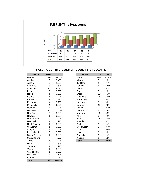

## FALL FULL-TIME GOSHEN COUNTY STUDENTS

| <b>STATE</b>      | <b>TOTAL</b>   | $\%$   | <b>COUNTY</b>      | <b>TOTAL</b>   | %       |
|-------------------|----------------|--------|--------------------|----------------|---------|
| Wyoming           | 284            | 57.3%  | Goshen             | 169            | 59.5%   |
| Alaska            | $\overline{c}$ | 0.4%   | Albany             | 5              | 1.8%    |
| Arizona           | 5              | 1.0%   | Big Horn           | 1              | 0.4%    |
| California        | 3              | 0.6%   | Campbell           | 5              | 1.8%    |
| Colorado          | 42             | 8.5%   | Carbon             | $\overline{2}$ | 0.7%    |
| Idaho             | 3              | 0.6%   | Converse           | 5              | 1.8%    |
| <b>Illinois</b>   | 1              | 0.2%   | Crook              | 15             | 5.3%    |
| Indiana           | 1              | 0.2%   | Freemont           | 11             | 3.9%    |
| Kansas            | 1              | 0.2%   | <b>Hot Springs</b> | $\mathbf 0$    | 0.0%    |
| Kentucky          | 1              | 0.2%   | Johnson            | $\mathbf 0$    | 0.0%    |
| Minnesota         | $\overline{4}$ | 0.8%   | Laramie            | 20             | 7.0%    |
| Montana           | 16             | 3.2%   | Lincoln            | $\overline{c}$ | 0.7%    |
| Nebraska          | 83             | 16.7%  | Natrona            | 5              | 1.8%    |
| New Jersey        | 3              | 0.6%   | Niobrara           | 14             | 4.9%    |
| Neveda            | 1              | 0.2%   | Park               | 3              | 1.1%    |
| <b>New Mexico</b> | $\mathbf 0$    | 0.0%   | Platte             | 17             | 6.0%    |
| <b>New York</b>   | 1              | 0.2%   | Sheridan           | $\overline{2}$ | 0.7%    |
| North Dakota      | 1              | 0.2%   | Sublette           | $\mathbf{1}$   | 0.4%    |
| Oklahoma          | 1              | 0.2%   | Sweetwater         | $\overline{c}$ | 0.7%    |
| Oregon            | $\overline{c}$ | 0.4%   | Teton              | $\overline{1}$ | 0.4%    |
| Pennsylvania      | 3              | 0.6%   | Uinta              | $\overline{0}$ | $0.0\%$ |
| South Carolina    | 1              | 0.2%   | Washakie           | $\mathbf{1}$   | 0.4%    |
| South Dakota      | 21             | 4.2%   | Weston             | 3              | 1.1%    |
| Texas             | 1              | 0.2%   | <b>Total</b>       | 284            | 100.0%  |
| Utah              | 3              | 0.6%   |                    |                |         |
| Vermont           | 1              | 0.2%   |                    |                |         |
| Virginia          | 1              | 0.2%   |                    |                |         |
| Washington        | 1              | 0.2%   |                    |                |         |
| Wisconsin         | 4              | 0.8%   |                    |                |         |
| International     | 5              | 1.0%   |                    |                |         |
| <b>Total</b>      | 496            | 100.0% |                    |                |         |

| <b>STATE</b>   | <b>TOTAL</b>   | %     | <b>COUNTY</b>      | <b>TOTAL</b>   | %       |
|----------------|----------------|-------|--------------------|----------------|---------|
| Wyoming        | 284            | 57.3% | Goshen             | 169            | 59.5%   |
| Alaska         | $\overline{2}$ | 0.4%  | Albany             | 5              | 1.8%    |
| Arizona        | 5              | 1.0%  | Big Horn           | 1              | 0.4%    |
| California     | 3              | 0.6%  | Campbell           | 5              | 1.8%    |
| Colorado       | 42             | 8.5%  | Carbon             | $\overline{c}$ | 0.7%    |
| Idaho          | 3              | 0.6%  | Converse           | 5              | 1.8%    |
| Illinois       | 1              | 0.2%  | Crook              | 15             | 5.3%    |
| Indiana        | 1              | 0.2%  | Freemont           | 11             | 3.9%    |
| Kansas         |                | 0.2%  | <b>Hot Springs</b> | 0              | 0.0%    |
| Kentucky       | 1              | 0.2%  | Johnson            | $\Omega$       | 0.0%    |
| Minnesota      | 4              | 0.8%  | Laramie            | 20             | 7.0%    |
| Montana        | 16             | 3.2%  | Lincoln            | $\overline{2}$ | 0.7%    |
| Nebraska       | 83             | 16.7% | Natrona            | 5              | 1.8%    |
| New Jersey     | 3              | 0.6%  | Niobrara           | 14             | 4.9%    |
| Neveda         | 1              | 0.2%  | Park               | 3              | 1.1%    |
| New Mexico     | 0              | 0.0%  | Platte             | 17             | 6.0%    |
| New York       |                | 0.2%  | Sheridan           | 2              | 0.7%    |
| North Dakota   |                | 0.2%  | Sublette           | 1              | 0.4%    |
| Oklahoma       | 1              | 0.2%  | Sweetwater         | $\overline{c}$ | 0.7%    |
| Oregon         | $\overline{c}$ | 0.4%  | Teton              | 1              | 0.4%    |
| Pennsylvania   | 3              | 0.6%  | Uinta              | 0              | $0.0\%$ |
| South Carolina | 1              | 0.2%  | Washakie           | 1              | 0.4%    |
| South Dakota   | 21             | 4.2%  | Weston             | 3              | 1.1%    |
| Texas          | 1              | 0.2%  | <b>Total</b>       | 284            | 100.0%  |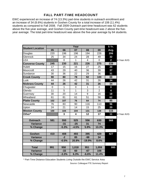# FALL PART-TIME HEADCOUNT

EWC experienced an increase of 74 (13.3%) part-time students in outreach enrollment and an increase of 34 (8.6%) students in Goshen County for a total increase of 108 (11.4%) students as compared to Fall 2008. Fall 2009 Outreach part-time headcount was 62 students above the five-year average, and Goshen County part-time headcount was 2 above the fiveyear average. The total part-time headcount was above the five-year average by 64 students.

|                         |                |                | Year                    |                |                | 5 Yr.            |            |
|-------------------------|----------------|----------------|-------------------------|----------------|----------------|------------------|------------|
| <b>Student Location</b> | 05             | 06             | 07                      | 08             | 09             | Avg.             |            |
| Douglas                 | 220            | 196            | 196                     | 194            | 226            | 206              |            |
| Glenrock                | 25             | 34             | 24                      | 28             | 49             | 32               |            |
| <b>LEA</b>              |                | $\overline{0}$ | $\mathbf{1}$            | $\overline{4}$ | $\mathbf 0$    | 2 <sup>1</sup>   | 4 Year AVG |
| <b>Converse County</b>  | 245            | 230            | 221                     | 226            | 275            | 239              |            |
| <b>Hulett</b>           | 17             | 15             | 16                      | 27             | 25             | 20               |            |
| Moorcroft               | 43             | 29             | 40                      | 36             | 39             | 37               |            |
| Sundance                | 30             | 36             | 22                      | 29             | 36             | 31               |            |
| <b>Crook County</b>     | 90             | 80             | 78                      | 92             | 100            | 88               |            |
| Lusk                    | 44             | 26             | 42                      | 31             | 26             | 34               |            |
| <b>Niobrara County</b>  | 44             | 26             | 42                      | 31             | 26             | 34               |            |
| Chugwater               | $\overline{0}$ | $\mathbf{1}$   | $\mathbf 0$             | $\mathbf{1}$   | $\mathbf 0$    | $\boldsymbol{0}$ |            |
| Glendo                  | 11             | 5              | $\mathbf{1}$            | 3              | $\overline{2}$ | 4                |            |
| Guernsey                | 30             | 20             | 14                      | $\overline{9}$ | 16             | 18               |            |
| Wheatland               | 61             | 81             | 61                      | 51             | 56             | 62               |            |
| <b>Platte County</b>    | 102            | 107            | 76                      | 64             | 74             | 85               |            |
| Newcastle               | 76             | 83             | 90                      | 116            | 113            | 96               |            |
| Upton                   | 24             | 21             | 14                      | 15             | 25             | 20               |            |
| <b>Weston County</b>    | 100            | 104            | 104                     | 131            | 138            | 115              |            |
| Other*                  |                | 3              | $\overline{\mathbf{4}}$ | 12             | 17             | 11               | 4 Year AVG |
| <b>Outreach</b>         | 581            | 550            | 525                     | 556            | 630            | 568              |            |
| <b>Variance</b>         |                | $-31$          | $-25$                   | 31             | 74             |                  |            |
| % Change                |                | $-5.3%$        | $-4.5%$                 | 5.9%           | 13.3%          |                  |            |
|                         |                |                |                         |                |                |                  |            |
| <b>Goshen</b>           | 410            | 408            | 493                     | 395            | 429            | 427              |            |
| <b>Variance</b>         |                | $-2$           | 85                      | $-98$          | 34             |                  |            |
| % Change                |                | $-0.5%$        | 20.8%                   | $-19.9%$       | 8.6%           |                  |            |
|                         |                |                |                         |                |                |                  |            |
| <b>Total</b>            | 991            | 958            | 1,018                   | 951            | 1,059          | 995              |            |
| <b>Variance</b>         |                | $-33$          | 60                      | $-67$          | 108            |                  |            |
| % Change                |                | $-3.3%$        | 6.3%                    | $-6.6%$        | 11.4%          |                  |            |

Source: Colleague FTE Summary Report \* Part-Time Distance Education Students Living Outside the EWC Service Area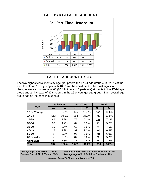

## FALL PART-TIME HEADCOUNT

## FALL HEADCOUNT BY AGE

The two highest enrollments by age group were the 17-24 age group with 52.9% of the enrollment and 16 or younger with 10.6% of the enrollment. The most significant changes were an increase of 68 (65 full-time and 3 part-time) students in the 17-24 age group and an increase of 32 students in the 16 or younger age group. Each overall age group had an increase in students.

|                 |     | <b>Full-Time</b> |       | <b>Part-Time</b> | <b>Total</b> |       |  |
|-----------------|-----|------------------|-------|------------------|--------------|-------|--|
| Age             | No. | %                | No.   | %                | No.          | %     |  |
| 16 or Younger   | 5   | 0.8%             | 175   | 16.5%            | 180          | 10.6% |  |
| $17 - 24$       | 513 | 80.5%            | 384   | 36.3%            | 897          | 52.9% |  |
| 25-29           | 46  | 7.2%             | 75    | 7.1%             | 121          | 7.1%  |  |
| 30-34           | 30  | 4.7%             | 67    | 6.3%             | 97           | 5.7%  |  |
| 35-39           | 15  | 2.4%             | 62    | 5.9%             | 77           | 4.5%  |  |
| 140-49          | 12  | 1.9%             | 97    | 9.2%             | 109          | 6.4%  |  |
| 50-59           | 6   | 0.9%             | 95    | $9.0\%$          | 101          | 6.0%  |  |
| 60 or older     | 2   | 0.3%             | 87    | 8.2%             | 89           | 5.2%  |  |
| <b>IUnknown</b> | 8   | 1.3%             | 17    | 1.6%             | 25           | 1.5%  |  |
| <b>Total</b>    | 637 | 100%             | 1,059 | 100%             | 1,696        | 100%  |  |

**Average Age of 658 Men: 27.14 Average Age of 1013 Women: 28.24** **Average Age of 1042 Part-time Students: 31.06 Average Age of 629 Full-time Students: 22.41**

**Average Age of 1671 Men and Women: 27.8**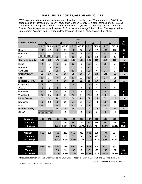## FALL UNDER AGE 25/AGE 25 AND OLDER

EWC experienced an increase in the number of students less than age 25 in outreach by 66 (15.1%) students and an increase of 34 (6.3%) students in Goshen County for a total increase of 100 (10.2%) students less than age 25. Outreach had an increase of 42 (19.3%) students age 25 and older, and Goshen County experienced an increase of 28 (9.2%) students age 25 and older. The Wyoming Law Enforcement Academy had 13 students less than age 25 and 28 students age 25 or older.

|                         | Year           |                |              |              |                |                         |          |              |                         |                |                         |
|-------------------------|----------------|----------------|--------------|--------------|----------------|-------------------------|----------|--------------|-------------------------|----------------|-------------------------|
| <b>Student Location</b> |                | 05             |              | 06           |                | 07                      |          | 08           |                         | 09             | <b>Total</b><br>Var     |
|                         | <b>LT 25</b>   | <b>GE 25</b>   | <b>LT 25</b> | <b>GE 25</b> | <b>LT 25</b>   | <b>GE 25</b>            | LT 25    | <b>GE 25</b> | <b>LT 25</b>            | <b>GE 25</b>   |                         |
| Douglas                 | 169            | 101            | 146          | 97           | 165            | 98                      | 158      | 77           | 164                     | 120            | 49                      |
| Glenrock                | 21             | 4              | 20           | 14           | 15             | $\boldsymbol{9}$        | 23       | 5            | 37                      | 12             | 21                      |
| <b>LEA</b>              |                |                | 13           | 41           | 16             | 31                      | 10       | 29           | 13                      | 28             | $\overline{\mathbf{2}}$ |
| <b>Converse County</b>  | 190            | 105            | 179          | 152          | 196            | 138                     | 191      | 111          | 214                     | 160            | 72                      |
| <b>Hulett</b>           | 9              | 8              | $\,6$        | 9            | 13             | 3                       | 22       | 5            | 18                      | $\overline{7}$ | $-2$                    |
| Moorcroft               | 43             | 16             | 26           | 13           | 43             | $\boldsymbol{9}$        | 24       | 14           | 49                      | 8              | 19                      |
| Sundance                | 31             | 3              | 25           | 13           | 19             | 3                       | 28       | 4            | 34                      | 1              | $\mathbf{3}$            |
| <b>Crook County</b>     | 83             | 27             | 57           | 35           | 75             | 15                      | 74       | 23           | 101                     | 16             | 20                      |
| Lusk                    | 19             | 27             | 9            | 18           | 10             | 32                      | 15       | 17           | 14                      | 14             | $-4$                    |
| <b>Niobrara County</b>  | 19             | 27             | 9            | 18           | 10             | 32                      | 15       | 17           | 14                      | 14             | $-4$                    |
| Chugwater               | $\Omega$       | $\overline{0}$ | $\mathbf{1}$ | 0            | $\Omega$       | $\Omega$                | $\Omega$ | 1            | $\Omega$                | 0              | $-1$                    |
| Glendo                  | $\overline{4}$ | $\overline{7}$ | 6            | 0            | $\mathbf{1}$   | $\Omega$                | 3        | 0            | $\overline{2}$          | 0              | $-1$                    |
| Guernsey                | 11             | 19             | 12           | 8            | 8              | 6                       | 8        | $\mathbf{1}$ | 15                      | $\overline{2}$ | 8                       |
| Wheatland               | 48             | 25             | 55           | 31           | 45             | 17                      | 41       | 12           | 42                      | 18             | $\overline{7}$          |
| <b>Platte County</b>    | 63             | 51             | 74           | 39           | 54             | 23                      | 52       | 14           | 59                      | 20             | 13                      |
| Newcastle               | 59             | 30             | 69           | 30           | 77             | 21                      | 87       | 43           | 92                      | 34             | $-4$                    |
| Upton                   | 18             | 6              | 16           | 5            | 11             | 3                       | 9        | 6            | 20                      | 5              | 10                      |
| <b>Weston County</b>    | 77             | 36             | 85           | 35           | 88             | 24                      | 96       | 49           | 112                     | 39             | 6                       |
| Other*                  |                |                | $\mathbf{1}$ | 3            | $\overline{1}$ | $\overline{\mathbf{3}}$ | 9        | 4            | $\overline{\mathbf{3}}$ | 11             | $\overline{1}$          |
|                         |                |                |              |              |                |                         |          |              |                         |                |                         |
| <b>Outreach</b>         | 432            | 246            | 405          | 282          | 424            | 235                     | 437      | 218          | 503                     | 260            |                         |
| <b>Variance</b>         |                |                | $-27$        | 36           | 19             | -47                     | 13       | $-17$        | 66                      | 42             | 108                     |
| % Change                |                |                | $-6.3%$      | 14.6%        | 4.7%           | $-16.7%$                | 3.1%     | $-7.2%$      | 15.1%                   | 19.3%          | 16.5%                   |
|                         |                |                |              |              |                |                         |          |              |                         |                |                         |
| Goshen                  | 512            | 306            | 469          | 289          | 556            | 339                     | 540      | 306          | 574                     | 334            |                         |
| Variance                |                |                | $-43$        | $-17$        | 87             | 50                      | $-16$    | $-33$        | 34                      | 28             | 62                      |
| % Change                |                |                | $-8.4%$      | $-5.6%$      | 18.6%          | 17.3%                   | $-2.9%$  | $-9.7%$      | 6.3%                    | 9.2%           | 7.3%                    |
|                         |                |                |              |              |                |                         |          |              |                         |                |                         |
| <b>Total</b>            | 944            | 552            | 874          | 571          | 980            | 574                     | 977      | 524          | 1077                    | 594            |                         |
| Variance                |                |                | $-70$        | 19           | 106            | 3                       | -3       | $-50$        | 100                     | 70             | 170                     |
| % Change                |                |                | $-7.4%$      | 3.4%         | 12.1%          | 0.5%                    | $-0.3%$  | $-8.7%$      | 10.2%                   | 13.4%          | 11.3%                   |

\* Distance Education Students Living Outside the EWC Service Area: 3 - Less Than Age 25 and 11 - Age 25 or Older

Source: Colleague FTE Summary Report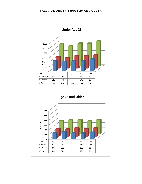

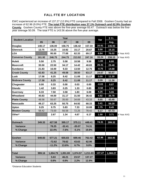## FALL FTE BY LOCATION

EWC experienced an increase of 137.27 (12.8%) FTE compared to Fall 2008. Goshen County had an increase of 62.96 (9.0%) FTE. **The total FTE distribution was 37.1% Outreach and 62.9% Goshen County**. Goshen County FTE was above the five-year average 93.47. Outreach was below the fiveyear average 50.09. The total FTE is 143.56 above the five-year average.

| <b>Student Location</b> |        |          | Year     |          |          | Var     | 5 Yr.    |            |
|-------------------------|--------|----------|----------|----------|----------|---------|----------|------------|
|                         | 05     | 06       | 07       | 08       | 09       |         | Avg.     |            |
| <b>Douglas</b>          | 148.17 | 136.00   | 156.75   | 136.42   | 157.33   | 20.91   | 146.93   |            |
| <b>Glenrock</b>         | 13.75  | 15.25    | 10.92    | 15.17    | 20.67    | 5.50    | 15.15    |            |
| <b>LEA</b>              |        | 95.50    | 77.08    | 62.33    | 69.17    | 6.84    | 76.02    | 4 Year AVG |
| <b>Converse County</b>  | 161.92 | 246.75   | 244.75   | 213.92   | 247.16   | 33.24   | 238.15   | 4 Year AVG |
| <b>Hulett</b>           | 5.50   | 2.75     | 5.58     | 10.58    | 9.58     | $-1.00$ | 6.80     |            |
| <b>Moorcroft</b>        | 35.50  | 22.50    | 34.17    | 14.42    | 40.83    | 26.41   | 29.48    |            |
| <b>Sundance</b>         | 21.83  | 16.00    | 9.33     | 13.50    | 12.75    | $-0.75$ | 14.68    |            |
| <b>Crook County</b>     | 62.83  | 41.25    | 49.08    | 38.50    | 63.17    | 24.67   | 50.97    |            |
| Lusk                    | 17.58  | 8.25     | 8.42     | 11.08    | 11.17    | 0.09    | 11.30    |            |
| <b>Niobrara County</b>  | 17.58  | 8.25     | 8.42     | 11.08    | 11.17    | 0.09    | 11.30    |            |
| Chugwater               | 0.00   | 0.33     | 0.00     | 0.03     | 0.00     | $-0.03$ | 0.07     |            |
| Glendo                  | 1.42   | 3.83     | 0.25     | 1.33     | 0.83     | $-0.50$ | 1.53     |            |
| <b>Guernsey</b>         | 6.33   | 7.50     | 3.58     | 1.83     | 6.08     | 4.25    | 5.06     |            |
| Wheatland               | 40.83  | 44.00    | 31.17    | 31.50    | 36.42    | 4.92    | 36.78    |            |
| <b>Platte County</b>    | 48.58  | 55.67    | 35.00    | 34.69    | 43.33    | 8.65    | 43.45    |            |
| <b>Newcastle</b>        | 49.17  | 63.25    | 50.75    | 64.92    | 68.33    | 3.41    | 59.28    |            |
| <b>Upton</b>            | 9.25   | 9.75     | 5.83     | 7.33     | 10.08    | 2.75    | 8.45     |            |
| <b>Weston County</b>    | 58.42  | 73.00    | 56.58    | 72.25    | 78.42    | 6.17    | 67.73    |            |
| Other*                  |        | 2.67     | 1.34     | 4.67     | 6.17     | 1.50    | 3.71     | 4 Year AVG |
|                         |        |          |          |          |          |         |          |            |
| <b>Outreach</b>         | 349.33 | 427.58   | 395.17   | 375.11   | 449.41   | 74.31   | 399.32   |            |
| <b>Variance</b>         |        | 78.25    | $-32.41$ | $-20.07$ | 74.31    |         |          |            |
| % Change                |        | 22.4%    | $-7.6%$  | $-5.1%$  | 19.8%    |         |          |            |
|                         |        |          |          |          |          |         |          |            |
| <b>Goshen</b>           | 649.83 | 577.21   | 655.83   | 699.46   | 762.42   | 62.96   | 668.95   |            |
| <b>Variance</b>         |        | $-72.62$ | 78.62    | 43.63    | 62.96    |         |          |            |
| % Change                |        | $-11.2%$ | 13.6%    | 6.7%     | 9.0%     |         |          |            |
|                         |        |          |          |          |          |         |          |            |
| <b>Total</b>            | 999.16 | 1,004.79 | 1,051.00 | 1,074.57 | 1,211.83 | 137.27  | 1,068.27 |            |
| <b>Variance</b>         |        | 5.63     | 46.21    | 23.57    | 137.27   |         |          |            |
| % Change                |        | 0.6%     | 4.6%     | 2.2%     | 12.8%    |         |          |            |

\*Distance Education Students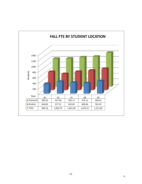

#### 12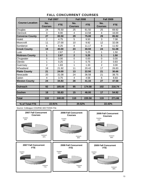|                        | <b>Fall 2007</b>      |            | <b>Fall 2008</b>        |            | <b>Fall 2009</b>        |            |  |
|------------------------|-----------------------|------------|-------------------------|------------|-------------------------|------------|--|
| <b>Course Location</b> | No.<br><b>Courses</b> | <b>FTE</b> | No.<br><b>Courses</b>   | <b>FTE</b> | No.<br><b>Courses</b>   | <b>FTE</b> |  |
| Douglas                | 24                    | 75.50      | 25                      | 61.50      | 25                      | 69.92      |  |
| Glenrock               | 3                     | 8.00       | 4                       | 13.58      | $\overline{\mathbf{4}}$ | 16.00      |  |
| <b>Converse County</b> | 27                    | 83.50      | 29                      | 75.08      | 29                      | 85.92      |  |
| <b>Hulett</b>          | $\overline{2}$        | 4.75       | 5                       | 9.50       | 3                       | 7.08       |  |
| Moorcroft              | 11                    | 27.00      | 10                      | 9.92       | 12                      | 32.08      |  |
| Sundance               | 6                     | 8.25       | 8                       | 11.17      | 9                       | 11.92      |  |
| <b>Crook County</b>    | 19                    | 40.00      | 23                      | 30.59      | 24                      | 51.08      |  |
| Lusk                   | 1                     | 2.67       | $\overline{2}$          | 5.25       | 1                       | 1.50       |  |
| <b>Niobrara County</b> | $\overline{1}$        | 2.67       | $\overline{2}$          | 5.25       | 1                       | 1.50       |  |
| Chugwater              | $\overline{0}$        | 0.00       | $\overline{0}$          | 0.00       | $\overline{0}$          | 0.00       |  |
| Glendo                 | 1                     | 0.25       | 1                       | 0.75       | $\overline{2}$          | 0.83       |  |
| Guernsey               | $\overline{2}$        | 1.83       | 1                       | 1.33       | $\overline{2}$          | 3.00       |  |
| Wheatland              | 18                    | 21.92      | 11                      | 20.42      | 17                      | 26.83      |  |
| <b>Platte County</b>   | 21                    | 24.00      | 13                      | 22.50      | 21                      | 30.66      |  |
| Newcastle              | 20                    | 31.08      | 24                      | 36.58      | 21                      | 38.75      |  |
| Upton                  | 4                     | 3.75       | $\overline{\mathbf{4}}$ | 4.58       | 6                       | 8.83       |  |
| <b>Weston County</b>   | 24                    | 34.83      | 28                      | 41.16      | 27                      | 47.58      |  |
| <b>Outreach</b>        | 92                    | 185.00     | 95                      | 174.58     | 102                     | 216.74     |  |
| <b>Goshen</b>          | 18                    | 55.83      | 15                      | 46.00      | 17                      | 54.92      |  |
| <b>Total</b>           | 110                   | 240.83     | 110                     | 220.58     | 119                     | 271.66     |  |
| % of Total FTE         | 22.91%                |            | 20.52%                  |            | 22.42%                  |            |  |

# FALL CONCURRENT COURSES

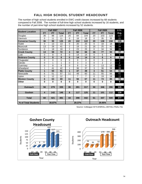# FALL HIGH SCHOOL STUDENT HEADCOUNT

The number of high school students enrolled in EWC credit classes increased by 68 students compared to Fall 2008. The number of full-time high school students increased by 16 students, and the number of part-time high school students increased by 52 students.

|                         |                         | <b>Fall 2007</b> |                 |                         | <b>Fall 2008</b> |                | <b>Fall 2009</b>        | 3 Yr.           |                 |                 |
|-------------------------|-------------------------|------------------|-----------------|-------------------------|------------------|----------------|-------------------------|-----------------|-----------------|-----------------|
| <b>Student Location</b> | <b>FT</b>               | <b>PT</b>        | <b>Total</b>    | <b>FT</b>               | <b>PT</b>        | <b>Total</b>   | <b>FT</b>               | PT              | <b>Total</b>    | Avg.            |
| Douglas                 | 36                      | 88               | 124             | 20                      | 84               | 104            | 20                      | 103             | 123             | 117             |
| Glenrock                | $\Omega$                | 11               | 11              | 0                       | 18               | 18             | $\Omega$                | 35              | 35              | 21              |
| <b>Converse County</b>  | 36                      | 99               | 135             | 20                      | 102              | 122            | 20                      | 138             | 158             | 138             |
| Hulett                  | $\Omega$                | 13               | 13              | 0                       | 20               | 20             | $\Omega$                | 18              | 18              | 17              |
| Moorcroft               | 13                      | 28               | 41              | $\overline{2}$          | 19               | 21             | 16                      | 25              | 41              | 34              |
| Sundance                | $\Omega$                | 18               | 18              | $\overline{2}$          | 23               | 25             | $\Omega$                | 34              | 34              | 26              |
| <b>Crook County</b>     | $\overline{13}$         | 59               | $\overline{72}$ | $\overline{\mathbf{4}}$ | 62               | 66             | $\overline{16}$         | $\overline{77}$ | $\overline{93}$ | $\overline{77}$ |
| Lusk                    | $\Omega$                | 8                | 8               | $\Omega$                | 14               | 14             | $\Omega$                | 6               | 6               | 9               |
| <b>Niobrara County</b>  | $\bf{0}$                | 8                | 8               | $\bf{0}$                | 14               | 14             | $\mathbf{0}$            | 6               | $6\phantom{1}$  | 9               |
| Chugwater               | 0                       | $\overline{0}$   | $\overline{0}$  | $\Omega$                | $\mathbf 0$      | 0              | $\overline{0}$          | $\overline{0}$  | $\mathbf 0$     | $\overline{0}$  |
| Glendo                  | $\Omega$                | 1                | 1               | $\Omega$                | 3                | 3              | $\Omega$                | $\overline{2}$  | $\overline{2}$  | $\overline{a}$  |
| Guernsey                | $\mathbf 0$             | 8                | 8               | $\mathbf 0$             | $\overline{8}$   | 8              | $\Omega$                | 13              | 13              | 10              |
| Wheatland               | 1                       | 41               | 42              | 1                       | 36               | 37             | 3                       | 36              | 39              | 39              |
| <b>Platte County</b>    | 1                       | 50               | 51              | $\mathbf{1}$            | 47               | 48             | $\overline{\mathbf{3}}$ | 51              | 54              | 51              |
| Newcastle               | $6\phantom{1}$          | 51               | 57              | 11                      | 49               | 60             | 11                      | 55              | 66              | 61              |
| Upton                   | 0                       | 12               | 12              |                         | $\overline{7}$   | $\overline{7}$ | $\mathbf 0$             | 19              | 19              | 13              |
| <b>Weston County</b>    | 6                       | 63               | 69              | 11                      | 56               | 67             | 11                      | 74              | 85              | 74              |
| Other                   | $\bf{0}$                | $\bf{0}$         | $\bf{0}$        | $\mathbf 0$             | $\mathbf 0$      | 0              | $\mathbf 0$             | $\bf{0}$        | $\bf{0}$        | $\bf{0}$        |
|                         |                         |                  |                 |                         |                  |                |                         |                 |                 |                 |
| <b>Outreach</b>         | 56                      | 279              | 335             | 36                      | 281              | 317            | 50                      | 346             | 396             | 349             |
|                         |                         |                  |                 |                         |                  |                |                         |                 |                 |                 |
| Goshen                  | $\overline{\mathbf{4}}$ | 142              | 146             | 8                       | 117              | 125            | 11                      | 101             | 112             | 128             |
|                         |                         |                  |                 |                         |                  |                |                         |                 |                 |                 |
| <b>Total</b>            | 60                      | 421              | 481             | 44                      | 398              | 442            | 61                      | 447             | 508             | 477             |
|                         |                         |                  |                 |                         |                  |                |                         |                 |                 |                 |
| % of Total Students     |                         | 30.87%           |                 |                         | 29.37%           |                |                         | 29.95%          |                 |                 |

Source: Colleague W73.ENROLL.DETAIL.FINAL File

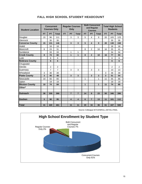| <b>Student Location</b> |           | <b>Concurrent</b><br><b>Courses Only</b> |                |           | <b>Regular Courses</b><br>Only |                         |              | <b>Both Concurrent</b><br>and Regular<br><b>Courses</b> |              |           | <b>Total High School</b><br><b>Students</b> |                 |  |
|-------------------------|-----------|------------------------------------------|----------------|-----------|--------------------------------|-------------------------|--------------|---------------------------------------------------------|--------------|-----------|---------------------------------------------|-----------------|--|
|                         | <b>FT</b> | <b>PT</b>                                | <b>Total</b>   | <b>FT</b> | <b>PT</b>                      | <b>Total</b>            | <b>FT</b>    | PT                                                      | <b>Total</b> | <b>FT</b> | <b>PT</b>                                   | <b>Total</b>    |  |
| Douglas                 | 15        | 96                                       | 111            |           | 3                              | 3                       | 5            | $\overline{4}$                                          | 9            | 20        | 103                                         | 123             |  |
| Glenrock                |           | 35                                       | 35             |           |                                |                         |              |                                                         |              |           | 35                                          | 35              |  |
| <b>Converse County</b>  | 15        | 131                                      | 146            |           | $\mathbf{3}$                   | $\overline{\mathbf{3}}$ | 5            | $\overline{\mathbf{4}}$                                 | 9            | 20        | 138                                         | 158             |  |
| Hulett                  |           | 18                                       | 18             |           |                                |                         |              |                                                         |              |           | 18                                          | 18              |  |
| Moorcroft               | 8         | 23                                       | 31             |           |                                |                         | 8            | $\overline{2}$                                          | 10           | 16        | 25                                          | 41              |  |
| Sundance                |           | 33                                       | 33             |           | $\mathbf 1$                    | 1                       |              |                                                         |              |           | 34                                          | 34              |  |
| <b>Crook County</b>     | 8         | 74                                       | 82             |           | $\mathbf{1}$                   | $\mathbf{1}$            | 8            | $\overline{2}$                                          | 10           | 16        | 77                                          | 93              |  |
| Lusk                    |           | 6                                        | 6              |           |                                |                         |              |                                                         |              |           | 6                                           | 6               |  |
| <b>Niobrara County</b>  |           | 6                                        | 6              |           |                                |                         |              |                                                         |              |           | 6                                           | $6\phantom{1}6$ |  |
| Chugwater               |           |                                          |                |           |                                |                         |              |                                                         |              |           |                                             |                 |  |
| Glendo                  |           | $\overline{2}$                           | $\overline{2}$ |           |                                |                         |              |                                                         |              |           | $\overline{2}$                              | $\overline{2}$  |  |
| Guernsey                |           | $\overline{7}$                           | $\overline{7}$ |           | 3                              | 3                       |              | 3                                                       | 3            |           | 13                                          | 13              |  |
| Wheatland               | 3         | 36                                       | 39             |           |                                |                         |              |                                                         |              | 3         | 36                                          | 39              |  |
| <b>Platte County</b>    | 3         | 45                                       | 48             |           | $\overline{3}$                 | 3                       |              | 3                                                       | 3            | 3         | 51                                          | 54              |  |
| Newcastle               | 10        | 55                                       | 65             |           |                                |                         | 1            |                                                         | 1            | 11        | 55                                          | 66              |  |
| Upton                   |           | 19                                       | 19             |           |                                |                         |              |                                                         |              |           | 19                                          | 19              |  |
| <b>Weston County</b>    | 10        | 74                                       | 84             |           |                                |                         | $\mathbf{1}$ |                                                         | 1            | 11        | 74                                          | 85              |  |
| Other*                  |           |                                          |                |           |                                |                         |              |                                                         |              |           |                                             |                 |  |
|                         |           |                                          |                |           |                                |                         |              |                                                         |              |           |                                             |                 |  |
| <b>Outreach</b>         | 36        | 330                                      | 366            |           | $\overline{7}$                 | $\overline{7}$          | 14           | 9                                                       | 23           | 50        | 346                                         | 396             |  |
|                         |           |                                          |                |           |                                |                         |              |                                                         |              |           |                                             |                 |  |
| <b>Goshen</b>           | 5         | 90                                       | 95             |           | $\boldsymbol{4}$               | $\overline{\mathbf{4}}$ | 6            | $\overline{7}$                                          | 13           | 11        | 101                                         | 112             |  |
|                         |           |                                          |                |           |                                |                         |              |                                                         |              |           |                                             |                 |  |
| <b>Total</b>            | 41        | 420                                      | 461            |           | 11                             | 11                      | 20           | 16                                                      | 36           | 61        | 447                                         | 508             |  |

## FALL HIGH SCHOOL STUDENT HEADCOUNT

Source: Colleague W73.ENROLL.DETAIL.FINAL

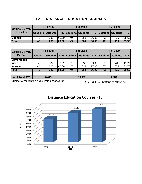# FALL DISTANCE EDUCATION COURSES

| <b>Course Delivery</b> |    | <b>Fall 2007</b>                                                            |       |    | <b>Fall 2008</b> |       | <b>Fall 2009</b> |     |            |  |
|------------------------|----|-----------------------------------------------------------------------------|-------|----|------------------|-------|------------------|-----|------------|--|
| Location               |    | Sections   Students   FTE   Sections   Students   FTE   Sections   Students |       |    |                  |       |                  |     | <b>FTE</b> |  |
| Goshen                 | 48 | 289                                                                         | 68.00 | 49 | 361              | 86.00 | 42               | 416 | 95.50      |  |
| <b>Total</b>           | 48 | 289                                                                         | 68.00 | 49 | 361              | 86.00 | 42               | 416 | 195.50     |  |

| <b>Course Delivery</b> |                 | <b>Fall 2007</b> |       |          | <b>Fall 2008</b> |       | <b>Fall 2009</b> |                     |       |  |
|------------------------|-----------------|------------------|-------|----------|------------------|-------|------------------|---------------------|-------|--|
| <b>Method</b>          | <b>Sections</b> | Students         | FTE I | Sections | Students FTE     |       |                  | Sections   Students | FTE   |  |
| <b>Compressed</b>      |                 |                  |       |          |                  |       |                  |                     |       |  |
| <b>Video</b>           |                 | 29               | 7.92  | 2        | 27               | 9.00  | 5                | 41                  | 11.75 |  |
| <b>Internet</b>        | 44              | 260              | 60.08 | 47       | 334              | 77.00 | 37               | 375                 | 83.75 |  |
| <b>Total</b>           | 48              | 289              | 68.00 | 49       | 361              | 86.00 | 42               | 416                 | 95.50 |  |
|                        |                 |                  |       |          |                  |       |                  |                     |       |  |
| % of Total FTE         |                 | 6.47%            |       |          | 8.00%            |       |                  | 7.88%               |       |  |

Number of students is a duplicated headcount.

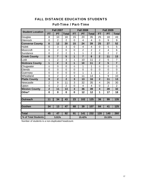# FALL DISTANCE EDUCATION STUDENTS

# Full-Time / Part-Time

| <b>Student Location</b> |                  | <b>Fall 2007</b> |                |                 | <b>Fall 2008</b> |                | <b>Fall 2009</b> |                |                |  |
|-------------------------|------------------|------------------|----------------|-----------------|------------------|----------------|------------------|----------------|----------------|--|
|                         | <b>FT</b>        | PT               | <b>Total</b>   | <b>FT</b>       | <b>PT</b>        | <b>Total</b>   | FT               | PT             | <b>Total</b>   |  |
| Douglas                 | 8                | 10               | 18             | 15              | 20               | 35             | 25               | 18             | 43             |  |
| Glenrock                | $\overline{0}$   | $\overline{2}$   | $\overline{2}$ | 0               | 4                | $\overline{4}$ | 0                | 9              | 9              |  |
| <b>Converse County</b>  | 8                | 12               | 20             | 15              | 24               | 39             | 25               | 27             | 52             |  |
| <b>Hulett</b>           | $\overline{0}$   | 3                | 3              | $\overline{0}$  | 4                | 4              | $\overline{0}$   | 5              | 5              |  |
| Moorcroft               | $\overline{0}$   | $\overline{2}$   | $\mathbf 0$    | 0               | $\overline{2}$   | $\overline{2}$ | $\overline{2}$   | 4              | 6              |  |
| Sundance                | $\overline{0}$   | $\overline{2}$   | $\overline{2}$ | 1               | 1                | $\overline{2}$ | $\overline{0}$   | $\overline{2}$ | $\overline{2}$ |  |
| <b>Crook County</b>     | $\boldsymbol{0}$ | $\overline{7}$   | 5              | 1               | $\overline{7}$   | 8              | $\overline{2}$   | 11             | 13             |  |
| Lusk                    | 1                | $\overline{2}$   | 3              | 1               | 10               | 11             | $\overline{2}$   | 5              | $\overline{7}$ |  |
| <b>Niobrara County</b>  | 1                | $\overline{2}$   | 3              | 1               | 10               | 11             | $\overline{2}$   | 5              | $\overline{7}$ |  |
| Chugwater               | 0                | 0                | $\mathbf 0$    | 0               | 1                | 1              | 0                | $\mathbf 0$    | 0              |  |
| Glendo                  | $\overline{0}$   | 0                | $\overline{0}$ | 0               | 0                | $\overline{0}$ | 0                | $\overline{0}$ | $\mathbf 0$    |  |
| Guernsey                | $\overline{0}$   | $\overline{0}$   | $\overline{0}$ | $\overline{0}$  | 1                | 1              | 1                | $\overline{2}$ | 3              |  |
| Wheatland               | $\overline{0}$   | $\overline{2}$   | $\overline{2}$ | 3               | 11               | 14             | 1                | 9              | 10             |  |
| <b>Platte County</b>    | $\bf{0}$         | $\overline{2}$   | $\overline{2}$ | 3               | 13               | 16             | $\overline{2}$   | 11             | 13             |  |
| Newcastle               | $\overline{2}$   | 9                | 11             | 3               | 32               | 35             | 4                | 26             | 30             |  |
| Upton                   | $\overline{0}$   | $\overline{2}$   | $\overline{2}$ | $\overline{0}$  | 4                | 4              | 0                | $\overline{2}$ | $\overline{2}$ |  |
| <b>Weston County</b>    | $\overline{2}$   | 11               | 13             | 3               | 36               | 39             | 4                | 28             | 32             |  |
| Other*                  | $\bf{0}$         | $\bf{0}$         | $\mathbf 0$    | $\mathbf 0$     | 12               | 12             | 1                | 17             | 18             |  |
|                         |                  |                  |                |                 |                  |                |                  |                |                |  |
| <b>Outreach</b>         | 11               | $\overline{34}$  | 43             | $\overline{23}$ | 102              | 125            | 36               | 99             | 135            |  |
|                         |                  |                  |                |                 |                  |                |                  |                |                |  |
| Goshen                  | 34               | 13               | 47             | 68              | 39               | 107            | 84               | 41             | 125            |  |
|                         |                  |                  |                |                 |                  |                |                  |                |                |  |
| <b>Total</b>            | 45               | 47               | 92             | 91              | 141              | 232            | 120              | 140            | 260            |  |
| % of Total Students     |                  | 5.91%            |                |                 | 15.42%           |                |                  | 15.33%         |                |  |

Number of students is a non-duplicated headcount.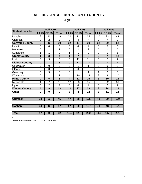# FALL DISTANCE EDUCATION STUDENTS

# Age

|                         |                         | <b>Fall 2007</b>        |                         |                         | <b>Fall 2008</b> |                | <b>Fall 2009</b>        |                |                |  |
|-------------------------|-------------------------|-------------------------|-------------------------|-------------------------|------------------|----------------|-------------------------|----------------|----------------|--|
| <b>Student Location</b> | <b>LT 25</b>            | <b>GE 25</b>            | <b>Total</b>            | <b>LT 25</b>            | <b>GE 25</b>     | <b>Total</b>   | <b>LT 25</b>            | <b>GE 25</b>   | <b>Total</b>   |  |
| Douglas                 | 8                       | 10                      | 18                      | 22                      | 13               | 35             | 20                      | 23             | 43             |  |
| Glenrock                | $\overline{0}$          | $\overline{2}$          | $\overline{2}$          | $\overline{0}$          | 4                | $\overline{4}$ | $\overline{2}$          | $\overline{7}$ | 9              |  |
| <b>Converse County</b>  | 8                       | 12                      | 20                      | 22                      | 17               | 39             | 22                      | 30             | 52             |  |
| <b>Hulett</b>           | $\overline{0}$          | $\mathbf 0$             | 0                       | $\mathbf 0$             | 4                | 4              | 0                       | 5              | 5              |  |
| Moorcroft               | $\overline{0}$          | $\overline{2}$          | $\overline{2}$          | $\overline{0}$          | $\overline{2}$   | $\overline{2}$ | 5                       | 1              | 6              |  |
| Sundance                | 1                       | 1                       | $\overline{2}$          | 1                       | 1                | $\overline{2}$ | $\overline{0}$          | 1              | 1              |  |
| <b>Crook County</b>     | 1                       | 3                       | $\overline{\mathbf{4}}$ | 1                       | $\overline{7}$   | 8              | 5                       | $\overline{7}$ | 12             |  |
| Lusk                    | $\overline{0}$          | 3                       | 3                       | $\overline{0}$          | 11               | 11             | 0                       | $\overline{7}$ | $\overline{7}$ |  |
| <b>Niobrara County</b>  | $\bf{0}$                | $\overline{\mathbf{3}}$ | $\overline{\mathbf{3}}$ | $\bf{0}$                | 11               | 11             | $\bf{0}$                | $\overline{7}$ | $\overline{7}$ |  |
| Chugwater               | $\overline{0}$          | 0                       | 0                       | $\overline{0}$          | 1                | 1              | $\overline{0}$          | 0              | $\mathbf 0$    |  |
| Glendo                  | $\overline{0}$          | $\overline{0}$          | 0                       | $\overline{0}$          | $\overline{0}$   | $\mathbf 0$    | $\overline{0}$          | 0              | $\overline{0}$ |  |
| Guernsey                | $\overline{0}$          | 3                       | 3                       | $\mathbf 0$             | 1                | 1              | 1                       | $\overline{2}$ | 3              |  |
| Wheatland               | $\overline{0}$          | $\overline{2}$          | $\overline{2}$          | $\overline{4}$          | 10               | 14             | $\overline{2}$          | 8              | 10             |  |
| <b>Platte County</b>    | $\bf{0}$                | $\overline{\mathbf{5}}$ | $\overline{\mathbf{5}}$ | $\overline{\mathbf{4}}$ | 12               | 16             | $\overline{\mathbf{3}}$ | 10             | 13             |  |
| Newcastle               | $\overline{4}$          | $\overline{7}$          | 11                      | 12                      | 23               | 35             | 8                       | 22             | 30             |  |
| Upton                   | $\overline{0}$          | $\overline{2}$          | $\overline{2}$          | 0                       | 4                | $\overline{4}$ | $\overline{0}$          | $\overline{2}$ | $\overline{2}$ |  |
| <b>Weston County</b>    | $\overline{\mathbf{4}}$ | 9                       | 13                      | 12                      | 27               | 39             | 8                       | 24             | 32             |  |
| <b>Other</b>            | $\bf{0}$                | $\mathbf 0$             | $\mathbf 0$             | 8                       | 4                | 12             | 3                       | 11             | 14             |  |
|                         |                         |                         |                         |                         |                  |                |                         |                |                |  |
| <b>Outreach</b>         | 13                      | 32                      | 45                      | 47                      | 78               | 125            | 41                      | 89             | 130            |  |
|                         |                         |                         |                         |                         |                  |                |                         |                |                |  |
| Goshen                  | 34                      | 13                      | 47                      | 57                      | 50               | 107            | 73                      | 48             | 121            |  |
|                         |                         |                         |                         |                         |                  |                |                         |                |                |  |
| <b>Total</b>            | 47                      | 45                      | 92                      | 104                     | 128              | 232            | 114                     | 137            | 251            |  |

Source: Colleague W73.ENROLL.DETAIL.FINAL File

.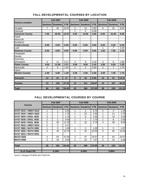|                        |                 | <b>Fall 2007</b> |            |                 | <b>Fall 2008</b> |            | <b>Fall 2009</b> |                 |            |  |
|------------------------|-----------------|------------------|------------|-----------------|------------------|------------|------------------|-----------------|------------|--|
| <b>Course Location</b> | <b>Sections</b> | <b>Students</b>  | <b>FTE</b> | <b>Sections</b> | <b>Students</b>  | <b>FTE</b> | <b>Sections</b>  | <b>Students</b> | <b>FTE</b> |  |
| Douglas                | $\overline{7}$  | 45               | 12.67      | $\overline{2}$  | 12               | 3.50       | 6                | 31              | 8.50       |  |
| Glenrock               |                 |                  |            | 1               | 2                | 0.50       |                  |                 |            |  |
| <b>Converse County</b> | 7.00            | 45.00            | 12.67      | 3.00            | 14.00            | 4.00       | 6.00             | 31.00           | 8.50       |  |
| Hulett                 |                 |                  |            |                 |                  |            |                  |                 |            |  |
| Moorcroft              |                 |                  |            |                 |                  |            |                  |                 |            |  |
| Sundance               |                 |                  |            |                 |                  |            |                  |                 |            |  |
| <b>Crook County</b>    | 0.00            | 0.00             | 0.00       | 0.00            | 0.00             | 0.00       | 0.00             | 0.00            | 0.00       |  |
| Lusk                   |                 |                  |            |                 |                  |            | 1                | $\overline{7}$  | 2.33       |  |
| <b>Niobrara County</b> | 0.00            | 0.00             | 0.00       | 0.00            | 0.00             | 0.00       | 1.00             | 7.00            | 2.33       |  |
| Chugwater              |                 |                  |            |                 |                  |            |                  |                 |            |  |
| Glendo                 |                 |                  |            |                 |                  |            |                  |                 |            |  |
| Guernsey               |                 |                  |            |                 |                  |            |                  |                 |            |  |
| Wheatland              | 4               | 11               | 3.17       | 3               | 9                | 2.42       | 3                | 6               | 1.83       |  |
| <b>Platte County</b>   | 4.00            | 11.00            | 3.17       | 3.00            | 9.00             | 2.42       | 3.00             | 6.00            | 1.83       |  |
| Newcastle              | $\overline{2}$  | 5                | 1.25       | $\overline{2}$  | 2                | 0.50       | $\overline{2}$   | $\overline{7}$  | 1.75       |  |
| Upton                  |                 |                  |            |                 |                  |            |                  |                 |            |  |
| <b>Weston County</b>   | 2.00            | 5.00             | 1.25       | 2.00            | 2.00             | 0.50       | 2.00             | 7.00            | 1.75       |  |
| <b>Outreach</b>        | 13              | 61               | 17         | 8               | 25               | 6.92       | 12               | 51              | 14.41      |  |
| <b>Goshen</b>          | 13              | 130              | 37.33      | 12              | 141              | 40.67      | 14               | 167             | 46.92      |  |
| <b>Total</b>           | 26              | 191              | 54.42      | 20              | 166              | 47.59      | 26               | 218             | 61.33      |  |

## FALL DEVELOPMENTAL COURSES BY LOCATION

## FALL DEVELOPMENTAL COURSES BY COURSE

|                               |                 | <b>Fall 2007</b> |       |                 | <b>Fall 2008</b> |            | <b>Fall 2009</b> |                 |            |
|-------------------------------|-----------------|------------------|-------|-----------------|------------------|------------|------------------|-----------------|------------|
| <b>Course</b>                 | <b>Sections</b> | <b>Students</b>  | FTE   | <b>Sections</b> | <b>Students</b>  | <b>FTE</b> | Sections I       | <b>Students</b> | <b>FTE</b> |
| <b>DVST 0510 / HMDV 0510</b>  |                 |                  | 0.25  |                 | 3                | 0.75       | 2                | 5               | 1.25       |
| <b>DVST 0520 / HMDV 0520</b>  |                 | 7                | 1.75  |                 | 10               | 2.50       |                  | 11              | 2.75       |
| <b>DVST 0620 / ENGL 0620</b>  | 3               | 7                | 1.75  | 1               | 8                | 2.00       | 2                | 14              | 3.50       |
| <b>IDVST 0630 / ENGL 0630</b> | 2               | $\mathcal{P}$    | 0.50  | 1               | 7                | 1.75       | 1                | 8               | 2.00       |
| <b>DVST 0640 / ENGL 0640</b>  | 5               | 45               | 11.25 | 5               | 23               | 5.75       | 4                | 36              | 9.00       |
| <b>DVST 0810 / HMDV 0810</b>  | $\mathfrak{p}$  | $\mathcal{P}$    | 0.17  |                 |                  |            |                  |                 |            |
| <b>IDVST 0860 / MATH 0860</b> | 1               | 3                | 1.00  | 1               | 3                | 1.00       | 1                | 5               | 1.67       |
| <b>IDVST 0900 / MATH 0900</b> | 5               | 43               | 10.75 | 5               | 42               | 10.50      | 5                | 62              | 15.50      |
| <b>DVST 0915 / MATH 0915</b>  |                 |                  |       |                 |                  |            |                  |                 |            |
| <b>IMATH 0920</b>             | 4               | 63               | 21.00 | 3               | 47               | 15.67      | 8                | 62              | 20.67      |
| <b>MATH 0930</b>              | 2               | 18               | 6.00  | 2               | 23               | 7.67       | 2                | 15              | 5.00       |
|                               |                 |                  |       |                 |                  |            |                  |                 |            |
| <b>Total</b>                  | 26              | 191              | 54.42 | 20              | 166              | 47.59      | 26               | 218             | 61.34      |
|                               |                 |                  |       |                 |                  |            |                  |                 |            |
| % of Total FTE                |                 | 5.18%            |       |                 | 4.43%            |            |                  | 5.06%           |            |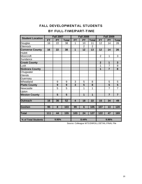# FALL DEVELOPMENTAL STUDENTS

# BY FULL-TIME/PART-TIME

| <b>Student Location</b> |           | <b>Fall 2007</b> |              |                         | <b>Fall 2008</b> |                         | <b>Fall 2009</b> |                |                |  |
|-------------------------|-----------|------------------|--------------|-------------------------|------------------|-------------------------|------------------|----------------|----------------|--|
|                         | <b>FT</b> | <b>PT</b>        | <b>Total</b> | <b>FT</b>               | PT               | <b>Total</b>            | <b>FT</b>        | <b>PT</b>      | <b>Total</b>   |  |
| Douglas                 | 16        | 22               | 38           | 1                       | 10               | 11                      | 12               | 14             | 26             |  |
| Glenrock                |           |                  |              |                         | $\overline{2}$   | $\overline{2}$          |                  |                |                |  |
| <b>Converse County</b>  | 16        | 22               | 38           | $\mathbf 1$             | 12               | 13                      | 12               | 14             | 26             |  |
| <b>Hulett</b>           |           |                  |              |                         |                  |                         |                  |                |                |  |
| Moorcroft               |           |                  |              |                         |                  |                         | $\overline{2}$   | $\mathbf{1}$   | 3              |  |
| Sundance                |           |                  |              |                         |                  |                         |                  |                |                |  |
| <b>Crook County</b>     |           |                  |              |                         |                  |                         | $\overline{2}$   | $\mathbf{1}$   | 3              |  |
| Lusk                    |           |                  |              |                         |                  |                         | 1                | $\overline{7}$ | 8              |  |
| <b>Niobrara County</b>  |           |                  |              |                         |                  |                         | $\overline{1}$   | $\overline{7}$ | 8              |  |
| Chugwater               |           |                  |              |                         |                  |                         |                  |                |                |  |
| Glendo                  |           |                  |              |                         |                  |                         |                  |                |                |  |
| Guernsey                |           |                  |              |                         |                  |                         |                  |                |                |  |
| Wheatland               |           | 9                | 9            | 3                       | 5                | 8                       |                  | 5              | 5              |  |
| <b>Platte County</b>    |           | 9                | 9            | $\overline{3}$          | 5                | 8                       |                  | 5              | 5              |  |
| Newcastle               |           | 5                | 5            |                         | 1                | 1                       |                  | $\overline{7}$ | $\overline{7}$ |  |
| Upton                   |           |                  |              |                         |                  |                         |                  |                |                |  |
| <b>Weston County</b>    |           | 5                | 5            |                         | 1                | $\overline{\mathbf{1}}$ |                  | $\overline{7}$ | $\overline{7}$ |  |
| <b>Outreach</b>         | 16        | 36               | 52           | $\overline{\mathbf{4}}$ | 18               | 22                      | 15               | 34             | 49             |  |
|                         |           |                  |              |                         |                  |                         |                  |                |                |  |
| Goshen                  | 95        | 8                | 103          | 99                      | $6\phantom{1}6$  | 105                     | 107              | 13             | 120            |  |
|                         |           |                  |              |                         |                  |                         |                  |                |                |  |
| <b>Total</b>            | 111       | 44               | 155          | 103                     | 24               | 127                     | 122              | 47             | 169            |  |
|                         |           |                  |              |                         |                  |                         |                  |                |                |  |
| % of Total Students     |           | 9.95%            |              |                         | 8.44%            |                         |                  | 9.96%          |                |  |

Source: Colleague W73.ENROLL.DETAIL.FINAL File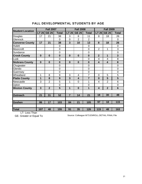| <b>Student Location</b> |                | <b>Fall 2007</b> |                |                | <b>Fall 2008</b>        |                | <b>Fall 2009</b> |                         |                |  |
|-------------------------|----------------|------------------|----------------|----------------|-------------------------|----------------|------------------|-------------------------|----------------|--|
|                         | <b>LT 25</b>   | <b>GE 25</b>     | <b>Total</b>   | <b>LT 25</b>   | <b>GE 25</b>            | <b>Total</b>   | LT 25            | <b>GE 25</b>            | <b>Total</b>   |  |
| Douglas                 | 17             | 21               | 38             | 3              | 8                       | 11             | 8                | 18                      | 26             |  |
| Glenrock                |                |                  | $\overline{0}$ | 0              | $\overline{2}$          | $\overline{2}$ |                  |                         | $\Omega$       |  |
| <b>Converse County</b>  | 17             | 21               | 38             | 3              | 10                      | 13             | 8                | 18                      | 26             |  |
| <b>Hulett</b>           |                |                  | $\mathbf 0$    |                |                         | $\mathbf 0$    |                  |                         | $\mathbf 0$    |  |
| Moorcroft               |                |                  | $\mathbf 0$    |                |                         | $\overline{0}$ | $\overline{2}$   | 1                       | 3              |  |
| Sundance                |                |                  | 0              |                |                         | $\overline{0}$ |                  |                         | $\overline{0}$ |  |
| <b>Crook County</b>     | $\bf{0}$       | $\bf{0}$         | $\bf{0}$       | $\bf{0}$       | $\bf{0}$                | $\bf{0}$       | $\overline{2}$   | 1                       | $\overline{3}$ |  |
| Lusk                    |                |                  | $\mathbf 0$    |                |                         | $\overline{0}$ | 4                | 4                       | 8              |  |
| <b>Niobrara County</b>  | $\bf{0}$       | $\bf{0}$         | $\bf{0}$       | $\bf{0}$       | $\bf{0}$                | $\bf{0}$       | 4                | $\overline{\mathbf{4}}$ | 8              |  |
| Chugwater               |                |                  | 0              |                |                         | $\overline{0}$ |                  |                         | $\overline{0}$ |  |
| Glendo                  |                |                  | 0              |                |                         | $\overline{0}$ |                  |                         | $\overline{0}$ |  |
| Guernsey                |                |                  | $\overline{0}$ |                |                         | $\overline{0}$ |                  |                         | 0              |  |
| Wheatland               | 1              | 8                | 9              | 3              | 4                       | $\overline{7}$ | $\overline{0}$   | 5                       | 5              |  |
| <b>Platte County</b>    | 1              | 8                | 9              | 3              | $\overline{\mathbf{4}}$ | $\overline{7}$ | $\bf{0}$         | 5                       | 5              |  |
| Newcastle               | 3              | $\overline{2}$   | 5              | 1              | $\overline{0}$          | 1              | 4                | $\overline{2}$          | 6              |  |
| Upton                   |                |                  | 0              |                |                         | $\overline{0}$ |                  |                         | $\overline{0}$ |  |
| <b>Weston County</b>    | $\overline{3}$ | $\overline{2}$   | 5              | 1              | $\bf{0}$                | 1              | 4                | $\overline{2}$          | $6\phantom{1}$ |  |
|                         |                |                  |                |                |                         |                |                  |                         |                |  |
| <b>Outreach</b>         | 21             | 31               | 52             | $\overline{7}$ | 14                      | 21             | 18               | 30                      | 48             |  |
|                         |                |                  |                |                |                         |                |                  |                         |                |  |
| <b>Goshen</b>           | 86             | 17               | 103            | 84             | 21                      | 105            | 97               | 18                      | 115            |  |
|                         |                |                  |                |                |                         |                |                  |                         |                |  |
| <b>Total</b>            | 107            | 48               | 155            | 91             | 35                      | 126            | 115              | 48                      | 163            |  |

# FALL DEVELOPMENTAL STUDENTS BY AGE

LT- Less Than<br>GE- Greater or Equal To

Source: Colleague W73.ENROLL.DETAIL.FINAL File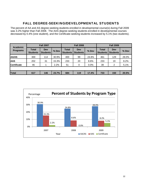# FALL DEGREE-SEEKING/DEVELOPMENTAL STUDENTS

The percent of AA and AS degree-seeking students enrolled in developmental course(s) during Fall 2009 was 3.2% higher than Fall 2008. The AAS degree-seeking students enrolled in developmental courses decreased by 0.4% (one student), and the Certificate-seeking students increased by 5.1% (two students).

| <b>Academic</b>    |                                 | <b>Fall 2007</b>       |         |                                 | <b>Fall 2008</b>       |       | <b>Fall 2009</b>                |                        |         |  |
|--------------------|---------------------------------|------------------------|---------|---------------------------------|------------------------|-------|---------------------------------|------------------------|---------|--|
| <b>Programs</b>    | <b>Total</b><br><b>Students</b> | Dev<br><b>Students</b> | $%$ Dev | <b>Total</b><br><b>Students</b> | Dev<br><b>Students</b> | % Dev | <b>Total</b><br><b>Students</b> | Dev<br><b>Students</b> | $%$ Dev |  |
| <b>AA/AS</b>       | 369                             | 114                    | 30.9%   | 400                             | 99                     | 24.8% | 461                             | 129                    | 28.0%   |  |
| <b>AAS</b>         | 202                             | 31                     | 15.3%   | 233                             | 20                     | 8.6%  | 233                             | 19                     | 8.2%    |  |
| <b>Certificate</b> | 46                              |                        | 2.2%    | 51                              | 0                      | 0.0%  | 39                              | 2                      | 5.1%    |  |
|                    |                                 |                        |         |                                 |                        |       |                                 |                        |         |  |
| Total              | 617                             | 146                    | 23.7%   | 684                             | 119                    | 17.4% | 733                             | 150                    | 20.5%   |  |

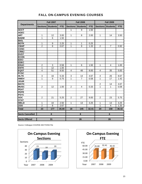|                        |                         | <b>Fall 2007</b> |            |                         | <b>Fall 2008</b> |            |                         | <b>Fall 2009</b>        |            |
|------------------------|-------------------------|------------------|------------|-------------------------|------------------|------------|-------------------------|-------------------------|------------|
| <b>Departments</b>     | Sections                | <b>Students</b>  | <b>FTE</b> | <b>Sections</b>         | <b>Students</b>  | <b>FTE</b> | <b>Sections</b>         | <b>Students</b>         | <b>FTE</b> |
| <b>ACCT</b>            |                         |                  |            | 1                       | 9                | 1.50       |                         |                         |            |
| <b>AGEC</b>            |                         |                  |            |                         |                  |            |                         |                         |            |
| <b>ART</b>             | 1                       | 12               | 3.00       | $\mathbf{1}$            | 8                | 2.00       | $\mathbf{1}$            | 14                      | 3.50       |
| <b>BADM</b>            | $\mathbf{1}$            | 6                | 1.50       |                         |                  |            |                         |                         |            |
| <b>BIOL</b>            |                         |                  |            |                         |                  |            |                         |                         |            |
| <b>BOTK</b>            | 1                       | $\boldsymbol{9}$ | 2.25       | $\mathbf{1}$            | $\mathbf{1}$     | 0.25       |                         |                         |            |
| <b>CMAP</b>            | $\overline{2}$          | 8                | 0.67       | 1                       | $\overline{8}$   | 1.33       | $\overline{2}$          | $\overline{7}$          | 0.92       |
| <b>COSC</b>            |                         |                  |            |                         |                  |            |                         |                         |            |
| <b>CRMJ</b>            |                         |                  |            |                         |                  |            |                         |                         |            |
| <b>DVST</b>            |                         |                  |            |                         |                  |            |                         |                         |            |
| <b>ECON</b>            |                         |                  |            |                         |                  |            |                         |                         |            |
| <b>EDCI</b>            |                         |                  |            |                         |                  |            |                         |                         |            |
| <b>EDEC</b>            |                         |                  |            |                         |                  |            |                         |                         |            |
| <b>EDUC</b>            | $\overline{2}$          | $\overline{3}$   | 0.58       | $\mathbf{1}$            | 6                | 1.50       | $\overline{1}$          | $\overline{\mathbf{4}}$ | 1.00       |
| <b>ENTK</b>            | $\mathbf{1}$            | 12               | 1.00       |                         |                  |            |                         |                         |            |
| <b>EQST</b>            | $\overline{\mathbf{4}}$ | 51               | 8.50       | $\overline{\mathbf{4}}$ | 48               | 8.00       | $\overline{\mathbf{4}}$ | 35                      | 5.83       |
| <b>FCSC</b>            |                         |                  |            |                         |                  |            |                         |                         |            |
| <b>HLTK</b>            | 3                       | 16               | 5.33       | $\overline{3}$          | 14               | 4.67       | 4                       | 26                      | 8.67       |
| <b>HMDV</b>            | $\mathbf{1}$            | 9                | 0.75       | 1                       | $\overline{7}$   | 0.58       | $\mathbf{1}$            | 17                      | 1.42       |
| <b>JOUR</b>            |                         |                  |            |                         |                  |            |                         |                         |            |
| <b>MATH</b>            |                         |                  |            |                         |                  |            | $\overline{2}$          | 14                      | 4.67       |
| <b>MUSC</b>            | $\overline{2}$          | 12               | 1.00       | $\overline{2}$          | 4                | 0.33       | 1                       | 1                       | 0.08       |
| <b>PEAT</b>            |                         |                  |            |                         |                  |            |                         |                         |            |
| <b>PEPR</b>            |                         |                  |            |                         |                  |            |                         |                         |            |
| <b>PSYC</b>            |                         |                  |            |                         |                  |            |                         |                         |            |
| <b>SOC</b>             | $\overline{2}$          | 21               | 5.25       | $\overline{2}$          | 27               | 9.00       | $\overline{2}$          | 23                      | 5.75       |
| <b>STAT</b>            |                         |                  |            |                         |                  |            |                         |                         |            |
| <b>WELD</b>            | 1                       | 10               | 2.50       | $\mathbf{1}$            | 13               | 3.25       | 1                       | 13                      | 3.25       |
| <b>ZOO</b>             | $\overline{2}$          | $\overline{8}$   | 2.67       |                         |                  |            | $\mathbf{1}$            | 4                       | 1.33       |
| <b>Total</b>           | 23                      | 177              | 35.00      | 18                      | 145              | 32.41      | 20                      | 158                     | 36.42      |
|                        |                         |                  |            |                         |                  |            |                         |                         |            |
| <b>Sects Cancelled</b> |                         | 8                |            |                         | 8                |            |                         | $6\phantom{1}$          |            |
| <b>Sects Offered</b>   |                         | 31               |            |                         | 26               |            |                         | 26                      |            |

## FALL ON-CAMPUS EVENING COURSES



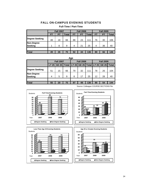## FALL ON-CAMPUS EVENING STUDENTS

|                              |    | <b>Fall 2007</b> |              |    | <b>Fall 2008</b> |              | <b>Fall 2009</b> |    |              |  |
|------------------------------|----|------------------|--------------|----|------------------|--------------|------------------|----|--------------|--|
|                              | FТ | PТ               | <b>Total</b> | FT | <b>PT</b>        | <b>Total</b> | <b>FT</b>        | PТ | <b>Total</b> |  |
| <b>Degree Seeking</b>        | 48 | 18               | 66           | 88 | 23               | 111          | 76               | 30 | 106          |  |
| Non-Degree<br><b>Seeking</b> |    | 8                | 9            | 4  | 21               | 25           | 4                | 36 | 40           |  |
|                              |    |                  |              |    |                  |              |                  |    |              |  |
| Total                        | 49 | 26               | 75           | 92 | 44               | 136          | 80               | 66 | 146          |  |

#### **Full-Time / Part-Time**

**Age**

| лyс                   |              |                  |    |    |                                       |     |                  |       |              |  |  |  |
|-----------------------|--------------|------------------|----|----|---------------------------------------|-----|------------------|-------|--------------|--|--|--|
|                       |              | <b>Fall 2007</b> |    |    | <b>Fall 2008</b>                      |     | <b>Fall 2009</b> |       |              |  |  |  |
|                       | <b>LT 25</b> | GE 25            |    |    | Total   LT 25   GE 25   Total   LT 25 |     |                  | GE 25 | <b>Total</b> |  |  |  |
| <b>Degree Seeking</b> | 51           | 15               | 66 | 79 | 32                                    | 111 | 78               | 26    | 104          |  |  |  |
| Non-Degree            |              |                  |    |    |                                       |     |                  |       |              |  |  |  |
| <b>Seeking</b>        | 4            | 5                | 9  | 8  | 17                                    | 25  | 12               | 28    | 40           |  |  |  |
|                       |              |                  |    |    |                                       |     |                  |       |              |  |  |  |
| Total                 | 55           | 20               | 75 | 87 | 49                                    | 136 | 90               | 54    | 144          |  |  |  |









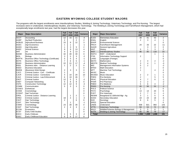### EASTERN WYOMING COLLEGE STUDENT MAJORS

The programs with the largest enrollments were Interdisciplinary Studies, Welding & Joining Technology, Veterinary Technology, and Pre-Nursing. The largest increases were in Undeclared, Interdisciplinary Studies, and Veterinary Technology. The Welding & Joining Technology and Farm/Ranch Management, which had exceptionally large enrollments last year, had the largest decreases this year.

| Major        | <b>Major Description</b>                 | Fall<br>2007   | Fall<br>2008   | Fall<br>2009   | Variance                | <b>Major</b> | <b>Major Description</b>                |                | Fall<br>2008   | Fall<br>2009 | Variance       |
|--------------|------------------------------------------|----------------|----------------|----------------|-------------------------|--------------|-----------------------------------------|----------------|----------------|--------------|----------------|
| <b>ACCT</b>  | Accounting                               | 12             | 15             | 11             | $-4$                    | <b>ELED</b>  | <b>Elementary Education</b>             | 39             | 41             | 43           | 2              |
| <b>AGBP</b>  | Ag Beef Production                       | 2              |                | $\mathbf{2}$   | $\overline{\mathbf{c}}$ | <b>ENGL</b>  | English                                 |                | 3              | 4            | $\mathbf{1}$   |
| <b>AGBUS</b> | <b>Agricultural Business</b>             | 15             | 9              | 12             | 3                       | <b>ENVR</b>  | <b>Environmental Science</b>            |                |                |              | $\mathbf 0$    |
| <b>AGEC</b>  | Agri-Economics                           |                | 1              |                | $-1$                    | <b>FRCH</b>  | Farm/Ranch Management                   | 24             | 33             | 22           | $-11$          |
| <b>AGED</b>  | Agri-Education                           |                | 3              | 5              | $\overline{2}$          | GAGR         | General Agriculture                     |                | 3              | 3            | 0              |
| <b>ANSC</b>  | <b>Animal Science</b>                    | 9              | 9              | 13             | $\overline{4}$          | <b>HIST</b>  | History                                 | 5              | 1              | 3            | $\overline{c}$ |
| <b>ART</b>   | Art                                      | 4              | 9              | 13             | 4                       | <b>INST</b>  | Interdisciplinary Studies               | 86             | 85             | 118          | 33             |
| <b>BADM</b>  | Business Administration                  | 32             | 30             | 30             | 0                       | <b>INSTU</b> | <b>INST - Undeclared</b>                |                |                |              | 1              |
| <b>BIOL</b>  | Biology                                  | 3              | 5              | 3              | $-2$                    | <b>ITSS</b>  | Information Technology Support          | 2              |                |              | $\mathbf 0$    |
| <b>BOFTK</b> | Business Office Technology (Certificate) | 5              | 5              | $\overline{4}$ | $-1$                    | LANG         | Languages (Foreign)                     |                |                |              | $\mathbf 0$    |
| <b>BOTK</b>  | <b>Business Office Technology</b>        | $\overline{7}$ | 6              | 5              | $-1$                    | <b>MATH</b>  | <b>Mathematics</b>                      | 2              | 4              | 2            | $-2$           |
| <b>BSAD</b>  | <b>Business Administration</b>           | 22             | 21             | 17             | -4                      | <b>MEDTK</b> | <b>Medical Technology</b>               | 3              | $\overline{4}$ | 1            | -3             |
| <b>BSDL</b>  | Business Adm. - Distance Learning        | 1              | $\overline{2}$ | $\overline{2}$ | $\Omega$                | <b>MIS</b>   | Management Information Systems          | 5              | $\overline{2}$ |              | $-2$           |
| <b>BSED</b>  | <b>Business Education</b>                |                |                |                | $\mathbf{0}$            | <b>MTED</b>  | <b>Math Education</b>                   |                |                |              | $\mathbf 0$    |
| <b>BWEB</b>  | (Business) Web Design                    | 2              | 3              | 3              | $\mathbf{0}$            | <b>MTT</b>   | Machine Tool Technology                 |                |                | 4            | $\overline{4}$ |
| <b>CJCC</b>  | Criminal Justice - Corr. - Certificate   | $\mathbf 1$    |                |                | 0                       | <b>MUSC</b>  | <b>Music</b>                            |                |                |              | $\Omega$       |
| <b>CJCR</b>  | Criminal Justice - Corrections           | 4              | 10             | 20             | 10                      | <b>MUSED</b> | <b>Music Education</b>                  |                | $\overline{2}$ | 1            | $-1$           |
| <b>CJLE</b>  | Criminal Justice - Law Enforcement       | 6              | 19             | 26             | $\overline{7}$          | <b>PDEN</b>  | <b>Pre-Dentistry</b>                    | 2              |                | 5            | 5              |
| <b>CMJT</b>  | <b>Criminal Justice</b>                  | 12             | 5              | 3              | $-2$                    | PEAC         | Physical Education                      | 4              | $\overline{7}$ | 6            | $-1$           |
| <b>CNET</b>  | <b>Computer Networking</b>               | 5              | 8              | 8              | 0                       | <b>PHAR</b>  | Pre-Pharmacy                            | 3              | $\overline{2}$ |              | -2             |
| <b>CNTK</b>  | <b>Construction Technology</b>           | 12             | 12             | 9              | -3                      | PMED         | Pre-Medicine                            | 5              | 6              | 4            | -2             |
| <b>COMM</b>  | Communication                            | 5              | 3              | 3              | 0                       | <b>PNSG</b>  | <b>Pre-Nursing</b>                      | 45             | 56             | 53           | -3             |
| <b>COSES</b> | Esthetician                              |                |                |                | 0                       | <b>POLS</b>  | Political Science                       | 1              |                |              | 0              |
| <b>COSM</b>  | Cosmetology                              |                |                |                | $\Omega$                | <b>PSYC</b>  | Psychology                              | 13             | 14             | 20           | 6              |
| <b>COSNT</b> | Nail Technician                          |                |                |                | $\Omega$                | <b>PVET</b>  | Pre-Veterinary                          | $\overline{2}$ | $\overline{7}$ | 6            | $-1$           |
| CRDL         | Criminal Justice - Distance Learning     |                | 1              | $\overline{2}$ |                         | <b>REWM</b>  | Rangeland Ec & Wtrshd Mgt - Ag          | 3              | 1              | 5            | $\overline{4}$ |
| <b>CRMJ</b>  | <b>Criminal Justice</b>                  | 18             | 4              | 1              | -3                      | <b>SCED</b>  | Secondary Education                     | 18             | 24             | 18           | -6             |
| <b>CSHT</b>  | Hair Technology                          | $\overline{2}$ |                | 6              | 6                       | <b>SOC</b>   | Sociology                               |                | 6              | 5            | $-1$           |
| <b>CSST</b>  | Skin Technology                          |                | 1              |                | -1                      | <b>SPED</b>  | <b>Special Education</b>                |                |                |              | $\mathbf 0$    |
| <b>CSMO</b>  | Cosmetology                              | 23             | 30             | 30             | 0                       | <b>UNDE</b>  | Undeclared                              | 939            | 821            | 964          | 143            |
| <b>CSNT</b>  | Nail Technology                          | $\overline{2}$ | 4              | 3              | $-1$                    | <b>VTTK</b>  | Veterinary Technology                   | 59             | 53             | 72           | 19             |
| ECON         | Economics                                |                |                |                | $\Omega$                | <b>WILD</b>  | Wildlife/Fisheries Biology & Management | 3              | 5              | 6            | $\mathbf{1}$   |
| <b>ECST</b>  | <b>Early Child Studies</b>               |                |                |                | $\Omega$                | <b>WJTK</b>  | <b>Welding &amp; Joining Technology</b> | 65             | 96             | 79           | $-17$          |
| <b>EDCC</b>  | Early Childcare                          |                | 5              | 3              | -2                      | <b>Total</b> |                                         | 1.556          | 1.505          | 1.696        | 191            |
| <b>EDEC</b>  | <b>Early Childhood Education</b>         | 6              | 9              | 17             | 8                       |              |                                         |                |                |              |                |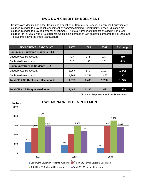# EWC NON-CREDIT ENROLLMENT

Courses are identified as either Continuing Education or Community Service. Continuing Education are courses intended to provide job enrichment or workforce training. Community Service Education are courses intended to provide personal enrichment. The total number of students enrolled in non-credit courses for Fall 2009 was 1432 students, which is an increase of 237 students compared to Fall 2008 and 74 students above the three-year average.

| <b>NON-CREDIT HEADCOUNT</b>               | 2007  | 2008  | 2009  | 3 Yr. Avg. |
|-------------------------------------------|-------|-------|-------|------------|
| <b>Continuing Education Students (CE)</b> |       |       |       |            |
| <b>Unduplicated Headcount</b>             | 427   | 376   | 247   | 350        |
| <b>Duplicated Headcount</b>               | 610   | 438   | 281   | 443        |
| <b>Community Service Students (CS)</b>    |       |       |       |            |
| <b>Unduplicated Headcount</b>             | 1,057 | 872   | 1,197 | 1,042      |
| <b>Duplicated Headcount</b>               | 1,369 | 1,051 | 1,487 | 1,302      |
| <b>Total CE + CS Duplicated Headcount</b> | 1,979 | 1,489 | 1,768 | 1,745      |
|                                           |       |       |       |            |
| <b>Total CE + CS Unique Headcount</b>     | 1,447 | 1,195 | 1,432 | 1,358      |

Source: Colleague Non-Credit Enrollment Report

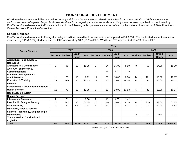# WORKFORCE DEVELOPMENT

Workforce development activities are defined as *any training and/or educational related service leading to the acquisition of skills necessary to perform the duties of a particular job for those individuals in or preparing to enter the workforce*. Only those courses organized or coordinated by EWC's workforce development efforts are included in the following table by career cluster as defined by the National Association of State Directors of Career Technical Education Consortium.

## Credit Courses

EWC's workforce development offerings for college credit increased by 9 course sections compared to Fall 2008. The duplicated student headcount increased by 119 (22.5%) students, and the FTE increased by 18.3 (16.9%) FTE. Workforce FTE represented 10.47% of total FTE.

|                                               | Year           |                          |                               |            |                |                          |                               |               |                |                            |                               |            |  |
|-----------------------------------------------|----------------|--------------------------|-------------------------------|------------|----------------|--------------------------|-------------------------------|---------------|----------------|----------------------------|-------------------------------|------------|--|
| <b>Career Clusters</b>                        | 2007           |                          |                               |            | 2008           |                          |                               |               | 2009           |                            |                               |            |  |
|                                               |                | <b>Sections Students</b> | <b>Credit</b><br><b>Hours</b> | <b>FTE</b> |                | <b>Sections Students</b> | <b>Credit</b><br><b>Hours</b> | <b>FTE</b>    |                | <b>Sections   Students</b> | <b>Credit</b><br><b>Hours</b> | <b>FTE</b> |  |
| Agriculture, Food & Natural                   |                |                          |                               |            |                |                          |                               |               |                |                            |                               |            |  |
| <b>Resources</b>                              |                |                          |                               |            |                |                          |                               |               |                |                            |                               |            |  |
| <b>Architecture &amp; Construction</b>        | 8              | 95                       | 20                            | 19.75      | 5              | 34                       | 15.00                         | 8.50          | 9              | 68                         | 24.00                         | 15.00      |  |
| Arts, A/V Technology &                        |                |                          |                               |            |                |                          |                               |               |                |                            |                               |            |  |
| <b>Communications</b>                         |                |                          |                               |            | 1              | 13                       | 3.00                          | 3.25          |                |                            |                               |            |  |
| <b>Business, Management &amp;</b>             |                |                          |                               |            |                |                          |                               |               |                |                            |                               |            |  |
| <b>Administration</b>                         | 11             | 75                       | 13                            | 6.92       | 11             | 83                       | 14.00                         | 8.00          | 14             | 101                        | 18.00                         | 10.17      |  |
| <b>Education &amp; Training</b>               | 14             | 163                      | 25                            | 20.75      | 12             | 76                       | 33.00                         | 18.08         | 12             | 84                         | 26.00                         | 16.67      |  |
| <b>IFinance</b>                               |                |                          |                               |            |                |                          |                               |               |                |                            |                               |            |  |
| <b>Government &amp; Public Administration</b> |                |                          |                               |            |                |                          |                               |               |                |                            |                               |            |  |
| <b>Health Science</b>                         | 12             | 78                       | 23                            | 12.75      | 6              | 60                       | 20.00                         | 13.83         | 5              | 32                         | 20.00                         | 10.67      |  |
| <b>Hospitality &amp; Tourism</b>              |                |                          |                               |            |                |                          |                               |               |                |                            |                               |            |  |
| <b>Human Services</b>                         |                |                          |                               |            |                |                          |                               |               |                |                            |                               |            |  |
| <b>Information Technology</b>                 | $\overline{2}$ | $\overline{7}$           | $\overline{2}$                | 0.58       | $\overline{2}$ | 11                       | 4.00                          | 1.42          |                |                            |                               |            |  |
| Law, Public Safety & Security                 | 10             | 241                      | 30                            | 60.25      | 10             | 199                      | 30.00                         | 49.75         | 16             | 336                        | 38.00                         | 67.33      |  |
| Manufacturing                                 | 4              | 34                       | 2.50                          | 1.67       | 5.             | 54                       | 6.00                          | 5.71          | $\overline{2}$ | 14                         | 10.00                         | 5.83       |  |
| <b>Marketing, Sales &amp; Service</b>         |                |                          |                               |            |                |                          |                               |               |                |                            |                               |            |  |
| Science, Technology, Engineering &            |                |                          |                               |            |                |                          |                               |               |                |                            |                               |            |  |
| <b>Mathematics</b>                            |                |                          |                               |            |                |                          |                               |               | 3              | 14                         | 3.00                          | 1.17       |  |
| <b>Transportation, Distribution &amp;</b>     |                |                          |                               |            |                |                          |                               |               |                |                            |                               |            |  |
| <b>Logistics</b>                              |                |                          |                               |            |                |                          |                               |               |                |                            |                               |            |  |
| <b>Total</b>                                  | 61             | 693                      | 115.50                        | 122.67     | 52             | 530                      |                               | 125.00 108.54 | 61             | 649                        | 139.00                        | 126.84     |  |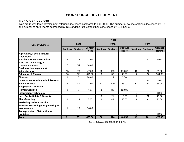# WORKFORCE DEVELOPMENT

#### Non-Credit Courses

Non-credit workforce development offerings decreased compared to Fall 2008. The number of course sections decreased by 19; the number of enrollments decreased by 139, and the total contact hours increased by 13.5 hours.

|                                               | Year |                            |                                |                 |                 |                                |                 |                 |                                |  |  |  |  |
|-----------------------------------------------|------|----------------------------|--------------------------------|-----------------|-----------------|--------------------------------|-----------------|-----------------|--------------------------------|--|--|--|--|
| <b>Career Clusters</b>                        |      | 2007                       |                                |                 | 2008            |                                | 2009            |                 |                                |  |  |  |  |
|                                               |      | <b>Sections   Students</b> | <b>Contact</b><br><b>Hours</b> | <b>Sections</b> | <b>Students</b> | <b>Contact</b><br><b>Hours</b> | <b>Sections</b> | <b>Students</b> | <b>Contact</b><br><b>Hours</b> |  |  |  |  |
| Agriculture, Food & Natural                   |      |                            |                                |                 |                 |                                |                 |                 |                                |  |  |  |  |
| <b>I</b> Resources                            |      |                            |                                |                 |                 |                                |                 |                 |                                |  |  |  |  |
| <b>Architecture &amp; Construction</b>        | 2    | 35                         | 18.00                          |                 |                 |                                | 1               | 4               | 6.00                           |  |  |  |  |
| Arts, A/V Technology &                        |      |                            |                                |                 |                 |                                |                 |                 |                                |  |  |  |  |
| <b>Communications</b>                         | 5    | 54                         | 14.00                          |                 |                 |                                |                 |                 |                                |  |  |  |  |
| <b>Business, Management &amp;</b>             |      |                            |                                |                 |                 |                                |                 |                 |                                |  |  |  |  |
| <b>Administration</b>                         | 15   | 78                         | 47.00                          | 28              | 109             | 170.00                         | 16              | 71              | 31.00                          |  |  |  |  |
| <b>Education &amp; Training</b>               | 30   | 321                        | 311.50                         | 6               | 38              | 40.00                          | 9               | 27              | 304.00                         |  |  |  |  |
| <b>IFinance</b>                               | 1    | 6                          | 24.00                          | 1               | 14              | 3.50                           |                 |                 |                                |  |  |  |  |
| <b>Government &amp; Public Administration</b> |      |                            |                                |                 |                 |                                | 1               | 22              | 8.00                           |  |  |  |  |
| <b>Health Science</b>                         | 5    | 47                         | 28.00                          | 12              | 109             | 55.00                          | 12              | 82              | 56.00                          |  |  |  |  |
| <b>Hospitality &amp; Tourism</b>              |      |                            |                                |                 |                 |                                |                 |                 |                                |  |  |  |  |
| <b>Human Services</b>                         | 1    | 6                          | 7.00                           | 9               | 80              | 122.00                         |                 |                 |                                |  |  |  |  |
| <b>Information Technology</b>                 |      |                            |                                |                 |                 |                                | 1               | 4               | 8.00                           |  |  |  |  |
| Law, Public Safety & Security                 |      |                            |                                | 3               | 21              | 16.00                          | 5               | 61              | 41.00                          |  |  |  |  |
| <b>Manufacturing</b>                          | 1    | 24                         | 8.00                           | 9               | 49              | 58.00                          | 3               | 6               | 21.00                          |  |  |  |  |
| <b>Marketing, Sales &amp; Service</b>         |      |                            |                                |                 |                 |                                |                 |                 |                                |  |  |  |  |
| Science, Technology, Engineering &            |      |                            |                                |                 |                 |                                |                 |                 |                                |  |  |  |  |
| <b>Mathematics</b>                            | 1    | 10                         | 16.00                          |                 |                 |                                |                 |                 |                                |  |  |  |  |
| <b>Transportation, Distribution &amp;</b>     |      |                            |                                |                 |                 |                                |                 |                 |                                |  |  |  |  |
| Logistics                                     |      |                            |                                |                 |                 |                                | 1               | 4               | 3.00                           |  |  |  |  |
| <b>Total</b>                                  | 61   | 581                        | 473.50                         | 68              | 420             | 464.50                         | 49              | 281             | 478.00                         |  |  |  |  |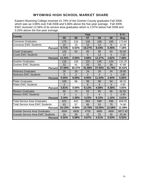# WYOMING HIGH SCHOOL MARKET SHARE

Eastern Wyoming College received 41.79% of the Goshen County graduates Fall 2009, which was up 3.86% over Fall 2008 and 5.86% above the five-year average. Fall 2009, EWC received 12.58% of its service area graduates which is 2.97% below Fall 2008 and 0.20% above the five-year average.

|                                          |                | 5 Yr.  |        |        |                |         |
|------------------------------------------|----------------|--------|--------|--------|----------------|---------|
| <b>County</b>                            | 05             | 06     | 07     | 08     | 09             | Avg.    |
| <b>Converse Graduates</b>                | 175            | 216    | 146    | 166    | 165            | 173.60  |
| <b>Converse EWC Students</b>             | 10             | 13     | 15     | 14     | 9              | 12.20   |
| <b>Percent</b>                           | 5.71%          | 6.02%  | 10.27% | 8.43%  | 5.45%          | 7.18%   |
| <b>Crook Graduates</b>                   | 105            | 92     | 85     | 98     | 83             | 92.60   |
| <b>Crook EWC Students</b>                | 14             |        | 5      | 13     | $\overline{4}$ | 7.20    |
| <b>Percent</b>                           | 13.33%         | 0.00%  | 5.88%  | 13.27% | 4.82%          | 7.46%   |
| <b>Goshen Graduates</b>                  | 116            | 135    | 131    | 145    | 134            | 132.20  |
| <b>Goshen EWC Students</b>               | 32             | 41     | 55     | 55     | 56             | 47.80   |
| <b>Percent</b>                           | 27.59%         | 30.37% | 41.98% | 37.93% | 41.79%         | 35.93%  |
| Niobrara Graduates                       | 26             | 29     | 29     | 26     | 34             | 28.80   |
| <b>Niobrara EWC Students</b>             | $\Omega$       | 2      | 2      | 3      | 1              | 1.60    |
| <b>Percent</b>                           | 0.00%          | 6.90%  | 6.90%  | 11.54% | 2.94%          | 5.65%   |
| <b>Platte Graduates</b>                  | 105            | 96     | 98     | 98     | 94             | 98.20   |
| <b>Platte EWC Students</b>               | $\overline{4}$ |        | 6      | 4      | $\overline{4}$ | 3.60    |
| <b>Percent</b>                           | 3.81%          | 0.00%  | 6.12%  | 4.08%  | 4.26%          | 3.65%   |
| <b>Weston Graduates</b>                  | 95             | 74     | 93     | 65     | 86             | 82.60   |
| <b>Weston EWC Students</b>               | 3              | 1      | 3      | 4      |                | 2.40    |
| <b>Percent</b>                           | 3.16%          | 1.35%  | 3.23%  | 6.15%  | 1.16%          | 3.01%   |
| Total Service Area Graduates             | 622            | 642    | 582    | 598    | 596            | 608.00  |
| <b>Total Service Area EWC Students</b>   | 63             | 57     | 86     | 93     | 75             | 74.80   |
| <b>Percentl</b>                          | 10.13%         | 8.88%  | 14.78% | 15.55% | 12.58%         | 12.38%  |
| <b>Outside Service Area Graduates</b>    | 4994           | 4838   | 4755   | 4885   | 4890           | 4872.40 |
| <b>Outside Service Area EWC Students</b> | 16             | 28     | 32     | 25     | 26             | 25.40   |
| <b>Percent</b>                           | 0.32%          | 0.58%  | 0.67%  | 0.51%  | 0.53%          | 0.52%   |